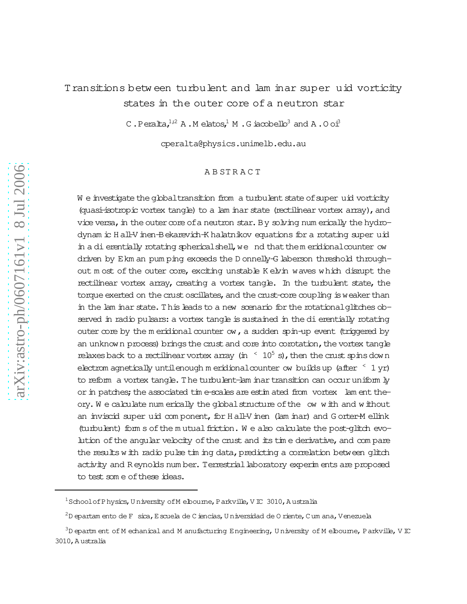# Transitions betw een turbulent and lam inar super
uid vorticity states in the outer core of a neutron star

C.Peralta, $1^{1/2}$  A.M elatos,<sup>1</sup> M.G iacobello<sup>3</sup> and A.O oi<sup>3</sup>

cperalta@physics.unimelb.edu.au

# A B ST R A C T

W e investigate the global transition from a turbulent state of super uid vorticity (quasi-isotropic vortex tangle) to a lam inar state (rectilinear vortex array), and vice versa, in the outer core of a neutron star. By solving num erically the hydrodynam ic H all-V inen-Bekarevich-K halatnikov equations for a rotating super uid in a dierentially rotating spherical shell, we nd that them eridional counter ow driven by Ekm an pum ping exceeds the D onnelly-G laberson threshold throughout m ost of the outer core, exciting unstable K elvin waves which disrupt the rectilinear vortex array, creating a vortex tangle. In the turbulent state, the torque exerted on the crust oscillates, and the crust-core coupling is weaker than in the lam inar state. This leads to a new scenario for the rotational glitches observed in radio pulsars: a vortex tangle is sustained in the dierentially rotating outer core by the m eridional counter  $ow$ , a sudden spin-up event (triggered by an unknown process) brings the crust and core into corotation, the vortex tangle relaxes back to a rectilinear vortex array (in  $\leq 10^5$  s), then the crust spins down electrom agnetically untilenough m eridional counter ow builds up (after  $\leq 1$  yr) to reform a vortex tangle.The turbulent-lam inartransition can occuruniform ly or in patches; the associated time-scales are estim ated from vortex lam ent theory. W e calculate num erically the globalstructure ofthe 
ow with and without an inviscid super uid com ponent, for H all-V inen (lam inar) and G orter-M ellink (turbulent) form s of the m utual friction. We also calculate the post-glitch evolution of the angular velocity of the crust and its time derivative, and compare the results with radio pulse tim ing data, predicting a correlation between glitch activity and R eynolds num ber. Terrestriallaboratory experim ents are proposed to test som e of these ideas.

 $1$ SchoolofPhysics, U niversity of M elbourne, P arkville, V IC 3010, A ustralia

 $2D$  epartam ento de F sica, E scuela de C iencias, U niversidad de O riente, C um ana, Venezuela

 $3D$  epartm ent of M echanical and M anufacturing Engineering, University of M elbourne, Parkville, V IC 3010,A ustralia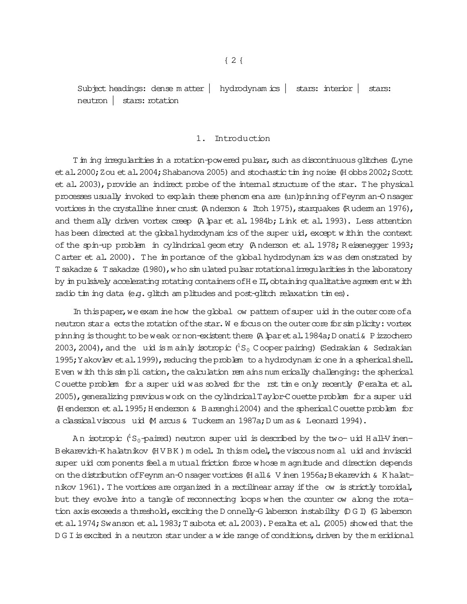Subject headings: dense m atter | hydrodynam ics | stars: interior | stars: neutron | stars: rotation

## 1. Introduction

T in ing irregularities in a rotation-powered pulsar, such as discontinuous glitches (Lyne et al. 2000; Zou et al. 2004; Shabanova 2005) and stochastic tim ing noise (H obbs 2002; Scott et al. 2003), provide an indirect probe of the internal structure of the star. The physical processesusually invoked to explain these phenom ena are (un)pinning ofFeynm an-O nsager vortices in the crystalline inner crust (A nderson & Itoh 1975), starquakes (R uderm an 1976), and them ally driven vortex creep (A lpar et al. 1984b; Link et al. 1993). Less attention has been directed at the global hydrodynam ics of the super uid, except within the context of the spin-up problem in cylindrical geom etry (Anderson et al. 1978; Reisenegger 1993; Carter et al. 2000). The importance of the global hydrodynam ics was demonstrated by T sakadze & T sakadze (1980), who sim ulated pulsar rotational irregularities in the laboratory by in pulsively accelerating rotating containers of  $H \in \Pi$ , obtaining qualitative agreem entwith radio tim ing data (e.g. glitch am plitudes and post-glitch relaxation tim es).

In this paper, we exam ine how the global ow pattern of super uid in the outer core of a neutron star a ects the rotation of the star. W e focus on the outer core for simplicity: vortex pinning is thought to be weak or non-existent there (A lparet al. 1984a; D onati & P izzochero 2003, 2004), and the uid is m ainly isotropic  $({}^{1}S_{0}$  Cooper pairing) (Sedrakian & Sedrakian 1995; Yakovlev et al. 1999), reducing the problem to a hydrodynam ic one in a spherical shell. Even with this simplication, the calculation rem ains num erically challenging: the spherical Couette problem for a super uid was solved for the rst time only recently (Peralta et al. 2005), generalizing previous work on the cylindrical Taylor-Couette problem for a super uid (H enderson et al. 1995; H enderson & B arenghi 2004) and the spherical Couette problem for a classicalviscous 
uid (M arcus& Tuckerm an 1987a;D um as& Leonard 1994).

An isotropic  $(^1S_0$ -paired) neutron super uid is described by the two- uid Hall-V inen-Bekarevich-K halatnikov (HVBK) m odel. In thism odel, the viscous norm al uid and inviscid super uid com ponents feel a m utual friction force whose m agnitude and direction depends on the distribution of Feynm an-O nsager vortices (H all & V inen 1956a; Bekarevich & K halatnikov 1961). The vortices are organized in a rectilinear array if the ow is strictly toroidal, but they evolve into a tangle of reconnecting loops when the counter ow along the rotation axis exceeds a threshold, exciting the D onnelly-G laberson instability (D G I) (G laberson et al. 1974; Swanson et al. 1983; T subota et al. 2003). Peralta et al. (2005) showed that the D G I is excited in a neutron star under a wide range of conditions, driven by the m eridional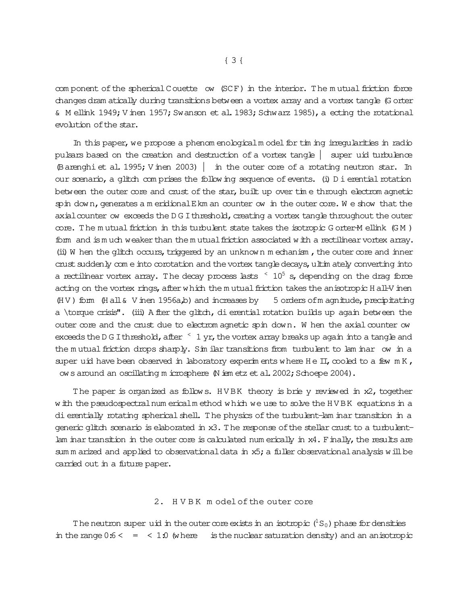com ponent of the spherical Couette ow (SCF) in the interior. The mutual friction force changesdram atically during transitionsbetween a vortex array and a vortex tangle (G orter & M ellink 1949; V inen 1957; Swanson et al. 1983; Schwarz 1985), a ecting the rotational evolution ofthe star.

In this paper, we propose a phenom enological model for tim ing irregularities in radio pulsars based on the creation and destruction of a vortex tangle | super
uid turbulence (Barenghi et al. 1995; V inen 2003)  $|$  in the outer core of a rotating neutron star. In our scenario, a glitch com prises the following sequence of events. (i)  $D$  i erential rotation between the outer core and crust of the star, built up over time through electrom agnetic spin down, generates a m eridional E km an counter ow in the outer core. We show that the axial counter ow exceeds the D G I threshold, creating a vortex tangle throughout the outer  $\text{cone}$ . The m utual friction in this turbulent state takes the isotropic G orter-M ellink (GM) form and ism uch weaker than the m utual friction associated with a rectilinear vortex array. (ii) W hen the glitch occurs, triggered by an unknown m echanism, the outer core and inner crust suddenly com e into corotation and the vortex tangle decays, ultim ately converting into a rectilinear vortex array. The decay process lasts  $\leq 10^5$  s, depending on the drag force acting on the vortex rings, after which the m utual friction takes the anisotropic H all-V inen  $(HV)$  form  $(H all & V$  inen 1956a,b) and increases by 5 orders of m agnitude, precipitating a \torque crisis". (iii) A fter the glitch, di erential rotation builds up again between the outer core and the crust due to electrom agnetic spin down. W hen the axial counter ow exceeds the D G I threshold, after  $\leq 1$  yr, the vortex array breaks up again into a tangle and the mutual friction drops sharply. Sim ilar transitions from turbulent to lam inar ow in a super uid have been observed in laboratory experim ents where  $H e I I$ , cooled to a few  $m K$ , ows around an oscillating m icrosphere (N iem etz et al. 2002; Schoepe 2004).

The paper is organized as follows. HVBK theory is brie y reviewed in x2, together with the pseudospectralnum ericalm ethod which we use to solve the HVBK equations in a di erentially rotating spherical shell. The physics of the turbulent-lam inar transition in a generic glitch scenario is elaborated in x3. The response of the stellar crust to a turbulentlam inar transition in the outer core is calculated num erically in x4. Finally, the results are sum m arized and applied to observational data in  $x5$ ; a fuller observational analysis will be carried out in a future paper.

# 2. H V B K m odel of the outer core

The neutron super uid in the outer core exists in an isotropic  $(^1S_0)$  phase for densities in the range  $0.6 <$  =  $<$  1.0 (where is the nuclear saturation density) and an anisotropic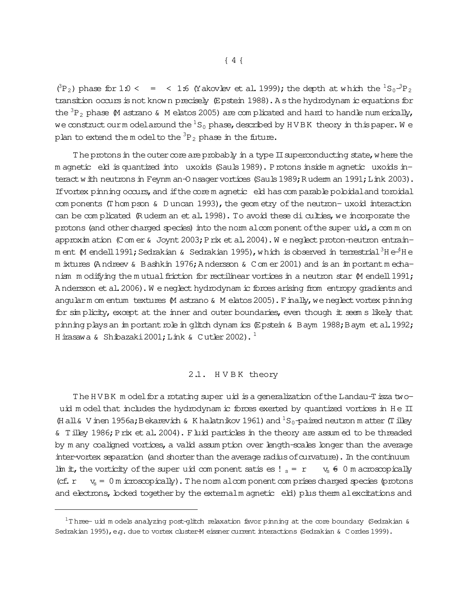$(^{3}P_2)$  phase for 1.0 < = < 1.6 (Yakovlev et al. 1999); the depth at which the  $^{1}S_0{}^{3}P_2$ transition occurs is not known precisely (Epstein 1988). As the hydrodynam ic equations for the  ${}^{3}P_{2}$  phase M astrano & M elatos 2005) are complicated and hard to handle num erically, we construct our model around the  ${}^{1}S_{0}$  phase, described by HVBK theory in this paper. We plan to extend the model to the  ${}^{3}P_{2}$  phase in the future.

The protons in the outer core are probably in a type II superconducting state, where the m agnetic eld is quantized into uxoids (Sauls 1989). P rotons inside m agnetic uxoids interact with neutrons in Feynm an-O nsager vortices (Sauls 1989; Ruderm an 1991; Link 2003). If vortex pinning occurs, and if the core m agnetic eld has comparable poloidal and toroidal com ponents (Thom pson  $\&$  D uncan 1993), the geometry of the neutron-uxoid interaction can be complicated (Rudem an et al. 1998). To avoid these di culties, we incorporate the protons (and other charged species) into the norm alcom ponent of the super uid, a common approximation (Comer & Joynt 2003; Prix et al. 2004). We neglect proton-neutron entrainm ent  $M$  endell 1991; Sedrakian & Sedrakian 1995), which is observed in terrestrial<sup>3</sup>H e<sup>4</sup>H e m ixtures (Andreev & Bashkin 1976; Andersson & Com er 2001) and is an important mechanism modifying the mutual friction for rectilinear vortices in a neutron star M endell 1991; Andersson et al. 2006). We neglect hydrodynam ic forces arising from entropy gradients and angularm om entum textures M astrano & M elatos 2005). Finally, we neglect vortex pinning for sin plicity, except at the inner and outer boundaries, even though it seem s likely that pinning plays an important role in glitch dynam ics (Epstein & Baym 1988; Baym et al. 1992; H irasawa & Shibazaki 2001; Link & Cutler 2002).<sup>1</sup>

# 2.1. HVBK theory

The HVBK model for a rotating super uid is a generalization of the Landau-T isza twouid model that includes the hydrodynam ic forces exerted by quantized vortices in He II (Hall & V inen 1956a; Bekarevich & K halatnikov 1961) and  ${}^{1}S_{0}$ -paired neutron m atter (T illey & Tilley 1986; Prix et al. 2004). Fluid particles in the theory are assumed to be threaded by m any coaligned vortices, a valid assumption over length-scales longer than the average inter-vortex separation (and shorter than the average radius of curvature). In the continuum lim it, the vorticity of the super uid component satises!  $s = r - v_s \div 0$  m acroscopically  $v_s = 0$  m icroscopically). The norm aloom ponent com prises charged species (protons (cf. r and electrons, locked together by the externalm agnetic eld) plus them alexcitations and

 $1$ Three- uid models analyzing post-glitch relaxation favor pinning at the core boundary (Sedrakian & Sedrakian 1995), e.g. due to vortex cluster-M eissner current interactions (Sedrakian & Cordes 1999).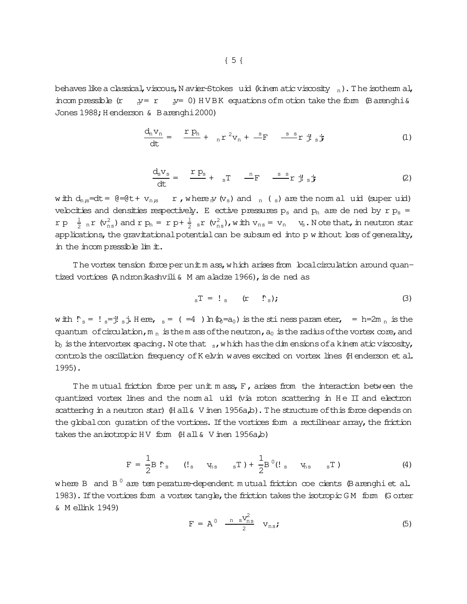behaves like a classical, viscous, N avier-Stokes uid (kinem atic viscosity  $_n$ ). The isotherm al,  $s = 0$ ) HVBK equations of motion take the form (Barenghi & incompressible (r  $N = r$ Jones 1988; Henderson & Barenghi 2000)

$$
\frac{d_n v_n}{dt} = \frac{r p_n}{t} + n r^2 v_n + \frac{s}{r} = \frac{s}{t} \mathbf{i} \mathbf{j} \mathbf{j} \mathbf{k}
$$
 (1)

$$
\frac{d_s v_s}{dt} = \frac{r p_s}{t} + r_s T - \frac{r}{t} F - \frac{r}{t} r j l_s j
$$
 (2)

with  $d_{n,s}$ =dt =  $\theta$ = $\theta$ t +  $v_{n,s}$  r, where  $N(v_s)$  and  $n(s)$  are the normal uid (super uid) velocities and densities respectively. E ective pressures  $p_s$  and  $p_n$  are de ned by r  $p_s$  =  $r p \frac{1}{2} r p$   $\frac{1}{2} r (v_{ns}^2)$  and  $r p_n = r p + \frac{1}{2} s r (v_{ns}^2)$ , with  $v_{ns} = v_n$   $v_s$ . Note that, in neutron star applications, the gravitational potential can be subsum ed into p without loss of generality, in the incompressible lim it.

The vortex tension force per unit m ass, which arises from local circulation around quantized vortices (Andronikashvili & M am aladze 1966), is de ned as

$$
{}_{s}T = !_{s} \t(r * \dot{r}_{s}); \t(3)
$$

with  $\dot{r}_s = l_s = j_s$ ; Here,  $s = (n_0 + 4)$  in  $\phi = a_0$  is the stiness parameter,  $s = h = 2m$ , is the quantum of circulation,  $m_n$  is the m ass of the neutron,  $a_0$  is the radius of the vortex core, and  $b_0$  is the intervortex spacing. Note that  $s$ , which has the dimensions of a kinem atic viscosity, controls the oscillation frequency of K elvin waves excited on vortex lines (H enderson et al.  $1995$ ).

The mutual friction force per unit mass, F, arises from the interaction between the quantized vortex lines and the norm al uid (via roton scattering in He II and electron scattering in a neutron star) (Hall & V inen 1956a,b). The structure of this force depends on the global con quration of the vortices. If the vortices form a rectilinear array, the friction takes the anisotropic HV form  $(Hall & V$  inen 1956a,b)

$$
F = \frac{1}{2} B \cdot S \qquad (I_s \qquad V_{ns} \qquad _s T) + \frac{1}{2} B^0 (I_s \qquad V_{ns} \qquad _s T) \qquad (4)
$$

where B and  $B^0$  are temperature-dependent mutual friction coe cients (Barenghi et al. 1983). If the vortices form a vortex tangle, the friction takes the isotropic GM form (G orter & M ellink 1949)

$$
F = A^0 \quad \frac{\text{m s}V_{\text{ns}}^2}{2} \quad v_{\text{ns}};
$$
 (5)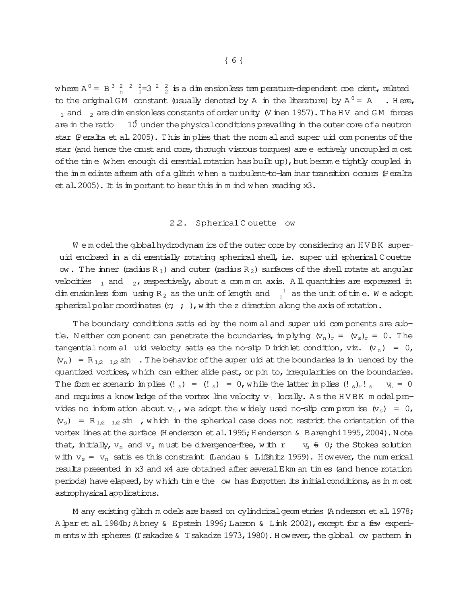where  $A^0 = B^3 \frac{2}{n} \frac{2}{n} \frac{2}{n} = 3 \frac{2}{n} \frac{2}{n}$  is a dimensionless temperature-dependent coe cient, related to the original GM constant (usually denoted by A in the literature) by  $A^0 = A$  . Here,  $_1$  and  $_2$  are dim ensionless constants of order unity (V inen 1957). The HV and GM forces are in the ratio  $10^{\circ}$  under the physical conditions prevailing in the outer core of a neutron star (Peralta et al. 2005). This in plies that the norm al and super uid components of the star (and hence the crust and core, through viscous torques) are e ectively uncoupled most of the time (when enough di erential rotation has built up), but become tightly coupled in the inmediate aftermath of a glitch when a turbulent-to-lam inar transition occurs (Peralta et al. 2005). It is important to bear this in m ind when reading  $x3$ .

#### 2.2. Spherical Couette ow

We model the global hydrodynam ics of the outer core by considering an HVBK superuid enclosed in a dierentially rotating spherical shell, i.e. super uid spherical Couette ow. The inner (radius  $R_1$ ) and outer (radius  $R_2$ ) surfaces of the shell rotate at angular velocities  $_1$  and  $_2$ , respectively, about a common axis. All quantities are expressed in dim ensionless form using R<sub>2</sub> as the unit of length and  $\frac{1}{1}$  as the unit of time. We adopt spherical polar coordinates  $(r; ; ;)$ , with the z direction along the axis of rotation.

The boundary conditions satis ed by the norm al and super uid components are subtle. Neither component can penetrate the boundaries, implying  $(v_n)_r = (v_s)_r = 0$ . The tangential nom al uid velocity satis es the no-slip D irichlet condition, viz.  $(v_n) = 0$ ,  $(v_n) = R_{1,2,1,2} \sin$ . The behavior of the super uid at the boundaries is in uenced by the quantized vortices, which can either slide past, or pin to, irregularities on the boundaries. The form er scenario implies  $(l_s) = (l_s) = 0$ , while the latter implies  $(l_s)_r!$ ,  $V_L = 0$ and requires a know ledge of the vortex line velocity  $v_L$  locally. As the HVBK model provides no information about  $v_L$ , we adopt the widely used no-slip compromise  $(v_s) = 0$ ,  $(v_s)$  = R<sub>1,2</sub> <sub>1,2</sub> sin, which in the spherical case does not restrict the orientation of the vortex lines at the surface (H enderson et al. 1995; H enderson & B arenghi 1995, 2004). Note that, initially,  $v_n$  and  $v_s$  must be divergence-free, with  $r$   $v_s \neq 0$ ; the Stokes solution w ith  $v_s = v_n$  satis es this constraint (Landau & Lifshitz 1959). However, the num erical results presented in x3 and x4 are obtained after several E km an times (and hence rotation periods) have elapsed, by which time the ow has forgotten its initial conditions, as in most astrophysical applications.

M any existing glitch models are based on cylindrical geom etries (Anderson et al. 1978; A par et al. 1984b; Abney & Epstein 1996; Larson & Link 2002), except for a few experim ents with spheres (T sakadze & T sakadze 1973, 1980). However, the global ow pattern in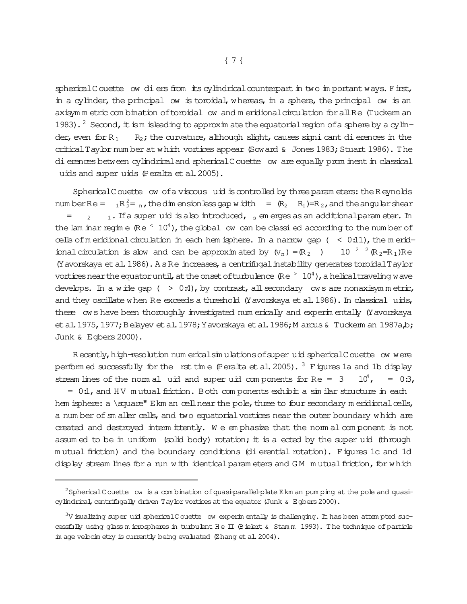spherical Couette ow diers from its cylindrical counterpart in two important ways. First, in a cylinder, the principal ow is toroidal, whereas, in a sphere, the principal ow is an axisym m etric com bination of toroidal ow and m eridional circulation for all Re (Tuckerm an 1983). <sup>2</sup> Second, it is m is leading to approxim ate the equatorial region of a sphere by a cylinder, even for  $R_1$  R<sub>2</sub>; the curvature, although slight, causes signi cant dierences in the critical Taylor num ber at which vortices appear (Soward  $\&$  Jones 1983; Stuart 1986). The dierences between cylindrical and spherical Couette ow are equally prominent in classical uids and super
uids (Peralta etal.2005).

SphericalCouette ow of a viscous uid is controlled by three param eters: the R eynolds num berRe =  ${}_{1}R_{2}^{2}$  =  ${}_{n}$ , the dim ensionless gap width =  $(R_{2} \ R_{1})=R_{2}$ , and the angular shear  $=$  $2 - 1$ . If a super uid is also introduced, s em erges as an additional parameter. In the lam inarregime  $\Re(e^2 10^4)$ , the global ow can be classied according to the num ber of cells of m eridional circulation in each hem isphere. In a narrow gap  $($  < 0.11), the m eridional circulation is slow and can be approximated by  $(w_n) = (R_2)$  10<sup>2</sup>  $(R_2=R_1)Re$ (Yavorskaya et al. 1986). A s Re increases, a centrifugal instability generates toroidal Taylor vortices near the equator until, at the onset of turbulence  $\Re$  e  $> 10^4$ ), a helical traveling wave develops. In a wide gap  $( > 0.4)$ , by contrast, all secondary ows are nonaxisymmetric, and they oscillate when Re exceeds a threshold (Y avorskaya et al. 1986). In classical uids, these 
ows have been thoroughly investigated num erically and experim entally (Yavorskaya et al. 1975, 1977; Belayev et al. 1978; Yavorskaya et al. 1986; M arcus & Tuckerm an 1987a, b; Junk & Egbers 2000).

Recently, high-resolution num erical simulations of super uid sphericalCouette ow were perform ed successfully for the rst time  $\varphi$  eralta et al. 2005). <sup>3</sup> Figures 1a and 1b display stream lines of the norm al uid and super uid components for Re =  $3 \times 10^4$ , =  $0:3$ ,

 $= 0.1$ , and HV m utual friction. Both components exhibit a similar structure in each hem isphere:  $a \square$ square" Ekm an cell near the pole, three to four secondary m eridional cells, a num ber of sm aller cells, and two equatorial vortices near the outer boundary which are created and destroyed interm ittently. We emphasize that the norm al component is not assum ed to be in uniform (solid body) rotation; it is a ected by the super uid (through m utual friction) and the boundary conditions (dierential rotation). Figures 1c and 1d display stream lines for a run with identical param eters and GM mutual friction, for which

<sup>&</sup>lt;sup>2</sup>Spherical C ouette ow is a com bination of quasi-parallel-plate E km an pum ping at the pole and quasicylindrical, centrifugally driven Taylor vortices at the equator (Junk  $\&$  E gbers 2000).

 $3V$  isualizing super uid spherical Couette ow experim entally is challenging. It has been attem pted successfully using glass m icrospheres in turbulent H e II (Bielert & Stam m 1993). The technique of particle im age velocim etry is currently being evaluated (Zhang etal.2004).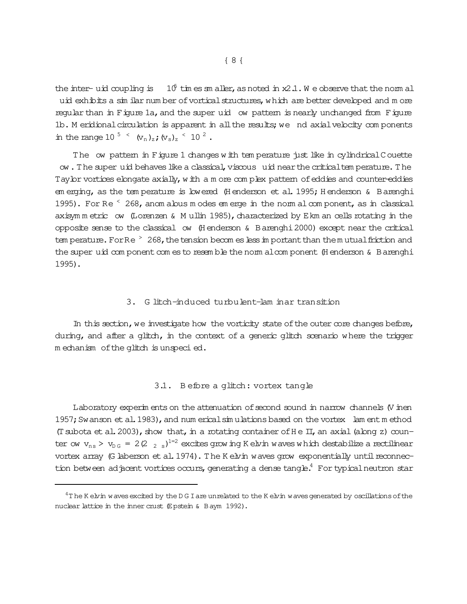the inter-uid coupling is  $10^6$  times sm aller, as noted in x2.1. We observe that the norm all uid exhibits a sim ilar number of vortical structures, which are better developed and more regular than in Figure 1a, and the super uid ow pattern is nearly unchanged from Figure 1b. M eridional circulation is apparent in all the results; we nd axial velocity components in the range 10<sup>5</sup>  $\langle v_n \rangle_z$ ;  $\langle v_s \rangle_z$ <sup>2</sup>.

The ow pattem in Figure 1 changes with temperature just like in cylindrical Couette ow. The super uid behaves like a classical, viscous uid near the critical tem perature. The Tay br vortices elongate axially, with a m ore complex pattern of eddies and counter-eddies em erging, as the tem perature is lowered (Henderson et al. 1995; Henderson & Barenghi 1995). For Re  $\leq$  268, anom alous m odes em erge in the norm al component, as in classical axisymmetric ow (Lorenzen & Mullin 1985), characterized by Ekm an cells rotating in the opposite sense to the classical ow (Henderson & Barenghi 2000) except near the critical tem perature. For  $Re^{-}$  268, the tension becom es less in portant than the mutual friction and the super uid com ponent com es to resemble the norm alcom ponent (Henderson & Barenghi 1995).

# 3. G litch-induced turbulent-lam inar transition

In this section, we investigate how the vorticity state of the outer core changes before, during, and after a glitch, in the context of a generic glitch scenario where the trigger mechanism of the glitch is unspecied.

#### 3.1. Before a glitch: vortex tangle

Laboratory experiments on the attenuation of second sound in narrow channels (V inen 1957; Swanson et al. 1983), and num erical simulations based on the vortex lam ent method (T subota et al. 2003), show that, in a rotating container of He II, an axial (along z) counter ow  $v_{ns} > v_{DS} = 2(2 \t{2} s)^{1-2}$  excites grow ing K elvin waves which destabilize a rectilinear vortex array (G laberson et al. 1974). The K elvin waves grow exponentially until reconnection between adjacent vortices occurs, generating a dense tangle.<sup>4</sup> For typical neutron star

 $4$ The K elvin w aves excited by the D G I are unrelated to the K elvin w aves generated by oscillations of the nuclear lattice in the inner crust (Epstein & Baym 1992).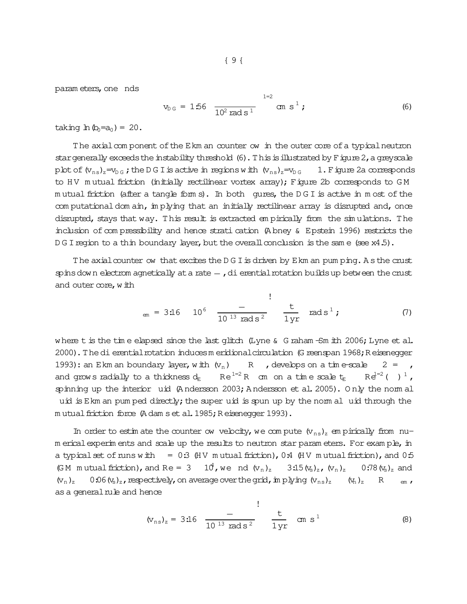param eters, one nds

$$
v_{DG} = 1.56 \frac{1}{10^2 \text{ rad s}^1} \text{ cm s}^1 ; \qquad (6)
$$

 $1 - 2$ 

taking  $\ln (b_0 = a_0) = 20$ .

The axial component of the Ekm an counter ow in the outer core of a typical neutron star generally exceeds the instability threshold (6). This is illustrated by Figure 2, a greyscale plot of  $(v_{ns})_z = v_{0}$ ; the DG I is active in regions with  $(v_{ns})_z = v_{0}$  (and 1. Figure 2a corresponds) to HV mutual friction (initially rectilinear vortex array); Figure 2b corresponds to GM mutual friction (after a tangle forms). In both gures, the DGI is active in most of the computational dom ain, in plying that an initially rectilinear array is disrupted and, once disrupted, stays that way. This result is extracted empirically from the simulations. The inclusion of compressibility and hence strati cation (Abney & Epstein 1996) restricts the DGI region to a thin boundary layer, but the overall conclusion is the same  $(see x4.5)$ .

The axial counter ow that excites the D G I is driven by E km an pum ping. A s the crust spins down electrom agnetically at a rate  $-$ , dierential rotation builds up between the crust and outer core, with

$$
_{em} = 3.16 \t 10^{6} \t \frac{-}{10^{13} \text{ rad s}^2} \t \frac{t}{1 yr} \t rad s^1; \t (7)
$$

 $\mathbf{I}$ 

where t is the time elapsed since the last glitch (Lyne  $\&$  G raham -Sm ith 2006; Lyne et al. 2000). The di erential rotation induces m eridional circulation (G reenspan 1968; R eisenegger 1993): an Ekm an boundary layer, with  $(v_n)$  R, develops on a time-scale  $2 = r$ and grows radially to a thickness  $d_E$  Re<sup>1=2</sup> R cm on a time scale  $t_E$  $Re^{1=2}$  ( )  $^{1}$ , spinning up the interior uid (Andersson 2003; Andersson et al. 2005). Only the norm al uid is Ekm an pum ped directly; the super uid is spun up by the norm all uid through the mutual friction force (Adam s et al. 1985; Reisenegger 1993).

In order to estimate the counter ow velocity, we compute  $(v_{ns})_z$  empirically from num erical experim ents and scale up the results to neutron star param eters. For example, in a typical set of runs with  $= 0.3$  (HV mutual friction), 0.4 (HV mutual friction), and 0.5 (GM mutual friction), and Re = 3  $10^4$ , we nd  $(v_n)_z$   $3.15 (v_s)_z$ ,  $(v_n)_z$   $0.78 (v_s)_z$  and 0.06  $(v_s)_z$ , respectively, on average over the grid, in plying  $(v_{ns})_z$   $(v_n)_z$  $(V_n)_z$ R  $em$   $\prime$ as a general rule and hence

$$
(v_{ns})_z = 3:16 \frac{-}{10^{13} \text{ rad s}^2} \frac{t}{1 \text{ yr}} \text{ cm s}^1
$$
 (8)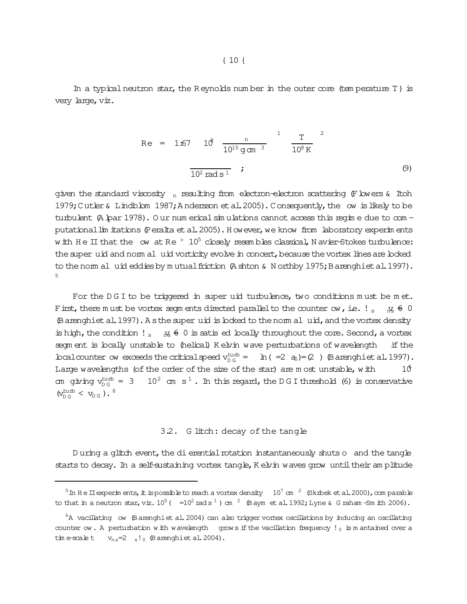In a typical neutron star, the R eynolds num ber in the outer core (tem perature T) is very large, viz.

Re = 1:67 
$$
10^8 \frac{n}{10^{15} \text{ g cm}^3}
$$
  $\frac{T}{10^8 \text{ K}}$   

$$
\frac{1}{10^2 \text{ rad s}^1}
$$
 (9)

given the standard viscosity  $n_{\text{in}}$  resulting from electron-electron scattering (Flowers & Itoh 1979; Cutler & Lindblom 1987; Andersson et al. 2005). Consequently, the ow is likely to be turbulent (A lpar 1978). O ur num erical sim ulations cannot access this regim e due to com putational lim itations (Peralta et al. 2005). H owever, we know from laboratory experim ents w ith H e II that the ow at R e  $>10^5$  closely resembles classical, N avier-Stokes turbulence: the super uid and norm al uid vorticity evolve in concert, because the vortex lines are boked to the norm al uid eddies by mutual friction (A shton & N orthby 1975; Barenghiet al. 1997). 5

For the DGI to be triggered in super uid turbulence, two conditions must be met. F irst, there m ust be vortex segm ents directed parallel to the counter ow, i.e.  $!$  s  $\pi$   $\#$  6 0 (Barenghiet al. 1997). A s the super uid is locked to the norm al uid, and the vortex density is high, the condition  $!_{s}$   $\pi_{\mathcal{R}}$   $\epsilon$  0 is satis ed locally throughout the core. Second, a vortex segm ent is locally unstable to (helical) K elvin wave perturbations of wavelength if the bcalcounter ow exceeds the critical speed  $v_{\text{DG}}^{\text{turb}} = \ln(-2 \text{ a}) = (2 \text{ )}$  (Barenghiet al. 1997). Large wavelengths (of the order of the size of the star) are m ost unstable, with  $10^6$ am giving v $_{\rm DG}^{\rm turb}$  $10<sup>2</sup>$  cm s<sup>1</sup>. In this regard, the D G I threshold (6) is conservative  $(v_{\text{DG}}^{\text{turb}} < v_{\text{DG}})$ .<sup>6</sup>

#### 3.2. G litch: decay of the tangle

D uring a glitch event, the dierential rotation instantaneously shuts o and the tangle starts to decay. In a self-sustaining vortex tangle, K elvin waves grow until their am plitude

 $^5$  In H e II experim ents, it is possible to reach a vortex density  $10^7$  cm  $^2$  (Skrbek et al. 2000), com parable to that in a neutron star, viz.  $10^5$  (  $\frac{10^2 \text{ rad s}^1}{\text{ rad s}^1}$  ) cm  $\frac{2}{3}$  (Baym et al. 1992; Lyne & G raham -Sm ith 2006).

 ${}^6A$  vacillating ow (Barenghiet al. 2004) can also trigger vortex oscillations by inducing an oscillating counter ow . A perturbation with wavelength grows if the vacillation frequency ! 0 is m antained over a  $\text{time-scale t}$   $v_{\text{ns}}=2s!0$  (Barenghiet al. 2004).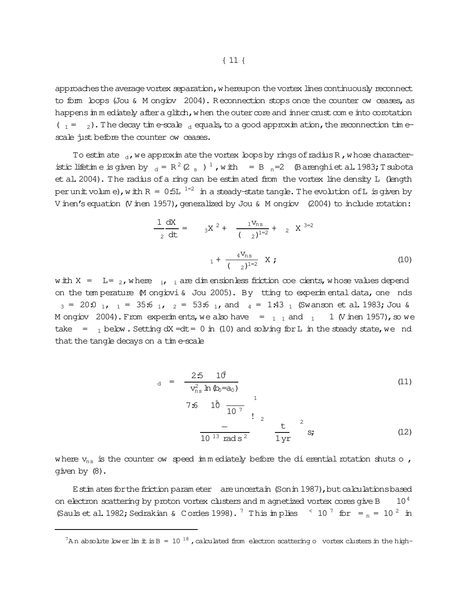approaches the average vortex separation, w hereupon the vortex lines continuously reconnect to form loops (Jou & M ongiov 2004). Reconnection stops once the counter ow ceases, as happens in m ediately after a glitch, when the outer core and inner crust come into corotation  $(1 - 2)$ . The decay time-scale dequals, to a good approximation, the reconnection timescale just before the counter ow ceases.

To estimate  $_{d}$ , we approximate the vortex loops by rings of radius R, whose characteristic lifetime is given by  $d = R^2 (2 s)^1$ , with  $= B_n=2$  (Barenghiet al. 1983; T subota et al. 2004). The radius of a ring can be estimated from the vortex line density L (length per unit volume), with  $R = 0.5L^{-1=2}$  in a steady-state tangle. The evolution of L is given by V inen's equation (V inen 1957), generalized by Jou & M ongiov (2004) to include rotation:

$$
\frac{1}{2}\frac{dX}{dt} = 3X^{2} + \frac{1V_{ns}}{(2)^{1=2}} + 2X^{3=2}
$$
\n
$$
1 + \frac{4V_{ns}}{(2)^{1=2}}X; \qquad (10)
$$

with  $X = L = 2$ , where  $i$ ,  $i$  are dimensionless friction coe cients, whose values depend on the tem perature M ongiovi & Jou 2005). By tting to experimental data, one nds  $_3$  = 20:0  $_1$ ,  $_1$  = 35:6  $_1$ ,  $_2$  = 53:6  $_1$ , and  $_4$  = 1:43  $_1$  (Swanson et al. 1983; Jou & M ongiov 2004). From experiments, we also have  $=$   $\frac{1}{1}$  and  $\frac{1}{1}$ 1 (V inen 1957), so we take =  $_1$  below. Setting dX = dt = 0 in (10) and solving for L in the steady state, we nd that the tangle decays on a time-scale

$$
_{d} = \frac{25}{v_{ns}^{2} \ln \theta_{0} = a_{0}} \qquad (11)
$$
\n
$$
7.6 \quad 1\overset{5}{\cancel{0}} \frac{1}{10^{-7}} \qquad \qquad 12
$$
\n
$$
\frac{-}{10^{-13} \text{ rad s}^{2}} \qquad \frac{t}{1 \text{ yr}} \qquad \qquad 2 \qquad (12)
$$

where  $v_{ns}$  is the counter ow speed in mediately before the di erential rotation shuts o, given by (8).

Estin ates for the friction parameter are uncertain (Sonin 1987), but calculations based on electron scattering by proton vortex clusters and m agnetized vortex cores give B  $10<sup>4</sup>$ (Sauls et al. 1982; Sedrakian & Cordes 1998).<sup>7</sup> This implies  $\leq 10^7$  for  $=$   $\frac{10^2}{3}$  in

 ${}^{7}$ An absolute lower lim it is B = 10<sup>18</sup>, calculated from electron scattering o vortex clusters in the high-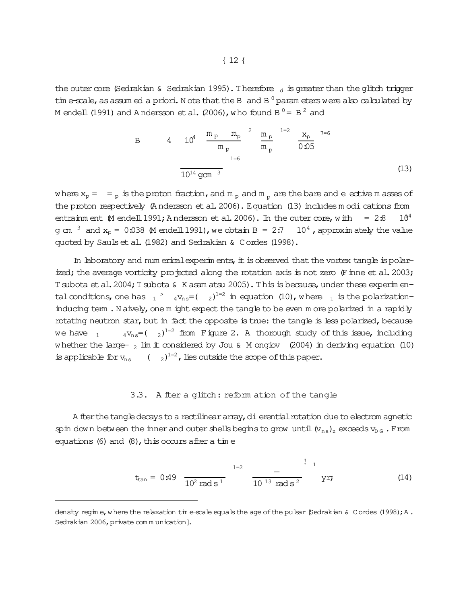the outer core (Sedrakian & Sedrakian 1995). Therefore  $\frac{1}{d}$  is greater than the glitch trigger tim e-scale, as assum ed a priori. N ote that the B and B  $^0$  param eters were also calculated by M endell (1991) and A ndersson et al. (2006), who found B  $^0$  = B  $^2$  and

B 
$$
4 \t 10^4 \t \frac{m_p}{m_p} \t m_p^2 \t \frac{m_p}{m_p} \t 1=2 \t \frac{x_p}{0.05} \t 7=6
$$
  

$$
\frac{1}{10^{14} \text{ gcm}^3} \t (13)
$$

where  $x_p = -p$  is the proton fraction, and  $m_p$  and  $m_p$  are the bare and eective m asses of the proton respectively (A ndersson et al. 2006). Equation (13) includes m odi cations from entrainm ent  $\beta$ M endell 1991; A ndersson et al. 2006). In the outer core, with = 2:8 10<sup>4</sup> g cm  $3$  and  $x_p = 0.038$  M endell 1991), we obtain B = 2:7 10<sup>4</sup>, approximately the value quoted by Saulset al. (1982) and Sedrakian & Cordes (1998).

In laboratory and num erical experim ents, it is observed that the vortex tangle is polarized; the average vorticity projected along the rotation axis is not zero  $(F \text{ in } e \text{ et } a1.2003;$ T subota et al. 2004; T subota & K asam atsu 2005). This is because, under these experim entalconditions, one has  $_1$   $^>$   $_4$  v<sub>ns</sub>=(  $_2$ )<sup>1=2</sup> in equation (10), where  $_1$  is the polarizationinducing term . N aively, one m ight expect the tangle to be even m ore polarized in a rapidly rotating neutron star, but in fact the opposite is true: the tangle is less polarized, because we have  $\,$   $_{1}$   $\,$   $\,$   $_{4}$  v $_{\rm ns}$  = (  $\,$   $_{2}$  )  $^{1=2}$  from Figure 2. A thorough study of this issue, including whether the large-  $_2$  lim it considered by Jou & M ongiov (2004) in deriving equation (10) is applicable for  $v_{ns}$  (  $_{2}$ )<sup>1=2</sup>, lies outside the scope of this paper.

## 3.3. A fter a glitch: reform ation of the tangle

A fter the tangle decays to a rectilinear array, dierential rotation due to electrom agnetic spin down between the inner and outer shells begins to grow until  $(v_{ns})_z$  exceeds  $v_{\text{D G}}$ . From equations (6) and  $(8)$ , this occurs after a time

$$
t_{tan} = 0.49 \frac{1}{10^2 \text{ rad s}^1}
$$
  $\frac{1}{10^{13} \text{ rad s}^2}$   $\frac{1}{10^2}$  (14)

density regim e, w here the relaxation tim e-scale equals the age of the pulsar [Sedrakian & C ordes (1998); A. Sedrakian 2006, private com m unication].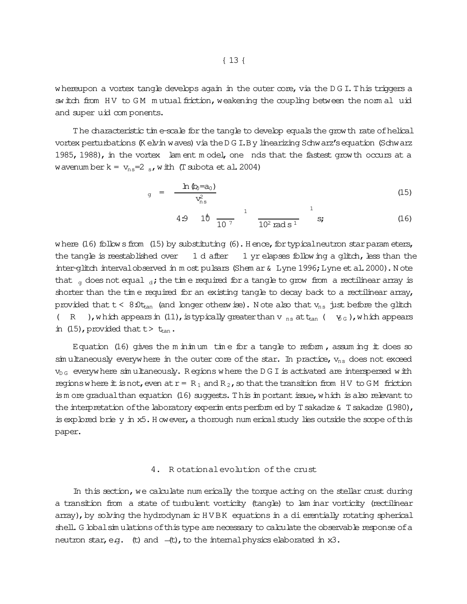whereupon a vortex tangle develops again in the outer  $\infty$ re, via the D G I. This triggers a switch from HV to GM mutual friction, weakening the coupling between the normal uid and super
uid com ponents.

The characteristic tim e-scale for the tangle to develop equals the growth rate of helical vortex perturbations (K elvin waves) via the D G I.B y linearizing Schwarz's equation (Schwarz 1985, 1988), in the vortex lam ent m odel, one nds that the fastest grow th occurs at a wavenum berk =  $v_{ns}$ =2  $s$ , with (T subota et al. 2004)

$$
_{g} = \frac{\ln \left( b_{0} = a_{0} \right)}{v_{\text{ns}}^{2}} \tag{15}
$$

4.9 1
$$
\theta
$$
  $\frac{1}{10^7}$   $\frac{1}{10^2 \text{ rad s}^1}$   $\frac{1}{10^2}$  (16)

where  $(16)$  follows from  $(15)$  by substituting  $(6)$ . H ence, for typical neutron star param eters, the tangle is reestablished over  $1 d$  after  $1 yr$  elapses following a glitch, less than the inter-glitch intervalobserved in m ost pulsars (Shem ar & Lyne 1996; Lyne et al. 2000). N ote that  $q$  does not equal  $d$ ; the time required for a tangle to grow from a rectilinear array is shorter than the time required for an existing tangle to decay back to a rectilinear array, provided that  $t < 8.0t_{tan}$  (and longer otherwise). Note also that  $v_{ns}$  just before the glitch ( R ), which appears in (11), is typically greater than v  $_{\text{ns}}$  at  $_{\text{tan}}$  (  $_{\text{y}_\text{G}}$ ), which appears in (15), provided that  $t > t_{tan}$ .

Equation (16) gives the m inimum time for a tangle to reform, assuming it does so  $\sin u$  theously everywhere in the outer core of the star. In practice,  $v_{ns}$  does not exceed  $v_{\text{DG}}$  everywhere simultaneously. Regions where the DGI is activated are interspersed with regions where it is not, even at  $r = R_1$  and  $R_2$ , so that the transition from HV to GM friction is m ore gradual than equation  $(16)$  suggests. This im portant issue, which is also relevant to the interpretation of the laboratory experim ents perform ed by T sakadze  $\&$  T sakadze (1980), is explored brie y in x5. H ow ever, a thorough num erical study lies outside the scope of this paper.

#### 4. R otationalevolution of the crust

In this section, we calculate num erically the torque acting on the stellar crust during a transition from a state of turbulent vorticity (tangle) to lam inar vorticity (rectilinear array), by solving the hydrodynam ic HVBK equations in a dierentially rotating spherical shell. G lobal simulations of this type are necessary to calculate the observable response of a neutron star, e.g.  $(t)$  and  $-(t)$ , to the internal physics elaborated in  $x3$ .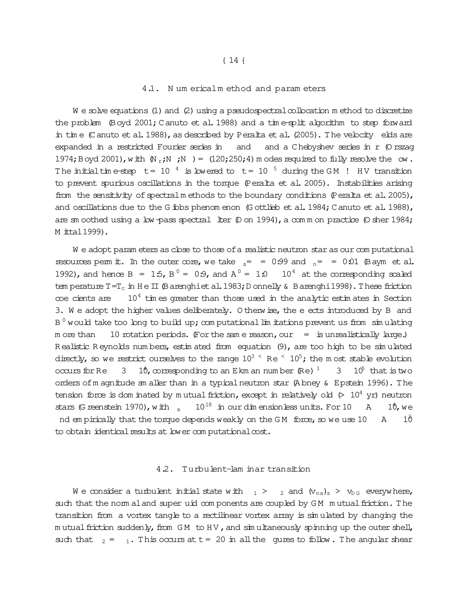#### 4.1. Num ericalm ethod and param eters

 $W$  e solve equations (1) and (2) using a pseudospectral collocation m ethod to discretize the problem (Boyd 2001; Canuto et al. 1988) and a time-split algorithm to step forward in time (Canuto et al. 1988), as described by Peralta et al. (2005). The velocity elds are expanded in a restricted Fourier series in and a Chebyshev series in r (O rszag and 1974; Boyd 2001), with  $(N_r; N; N) = (120; 250; 4)$  m odes required to fully resolve the ow. The initial time-step t = 10  $^4$  is lowered to t = 10  $^5$  during the GM ! HV transition to prevent spurious oscillations in the torque (Peralta et al. 2005). Instabilities arising from the sensitivity of spectral methods to the boundary conditions (Peralta et al. 2005), and oscillations due to the G ibbs phenom enon (G ottlieb et al. 1984; C anuto et al. 1988), are sm oothed using a low-pass spectral liter  $(D \text{ on } 1994)$ , a comm on practice  $(D \text{ sher } 1984)$ ; M ittal 1999).

We adopt parameters as close to those of a realistic neutron star as our computational resources perm it. In the outer core, we take  $s = 0.99$  and  $n = 0.01$  (B aym et al. 1992), and hence B = 1.5, B<sup>0</sup> = 0.9, and A<sup>0</sup> = 1.0 10<sup>4</sup> at the corresponding scaled tem perature  $T=T_c$  in  $H \in \Pi$  (B arenghiet al. 1983; D onnelly & B arenghi 1998). These friction  $10<sup>4</sup>$  times greater than those used in the analytic estimates in Section coe cients are 3. We adopt the higher values deliberately. O therwise, the e ects introduced by B and  $B<sup>0</sup>$  would take too long to build up; computational limitations prevent us from simulating m ore than 10 rotation periods. (For the same reason, our = is unrealistically large.) Realistic Reynolds numbers, estimated from equation (9), are too high to be simulated directly, so we restrict ourselves to the range  $10^3 \text{ }^{\circ}$  Re  $\text{ }^{\circ}$  10<sup>5</sup>; the most stable evolution occurs for Re  $\,$  3  $\,$  10, corresponding to an E km an number (Re)  $\,$   $\,$   $\,$  3  $\,$  10<sup>5</sup> that is two orders of m agnitude sm aller than in a typical neutron star (Abney & Epstein 1996). The tension force is dom inated by mutual friction, except in relatively old  $(> 10^4 \text{ yr})$  neutron stars (G reenstein 1970), with  $\frac{10^{18}}{10^{18}}$  in our dimensionless units. For 10  $\mathbb{A}$  $10,$  we nd em pirically that the torque depends weakly on the GM force, so we use 10  $\, {\bf A}$ 1Ô to obtain identical results at lower computational cost.

#### 4.2. Turbulent-lam inar transition

We consider a turbulent initial state with  $_1$  >  $_2$  and  $(v_{ns})_z$  >  $v_{DS}$  everywhere, such that the norm al and super uid components are coupled by GM mutual friction. The transition from a vortex tangle to a rectilinear vortex array is simulated by changing the mutual friction suddenly, from GM to HV, and simultaneously spinning up the outer shell, such that  $_2 = 1$ . This occurs at t = 20 in all the gures to follow. The angular shear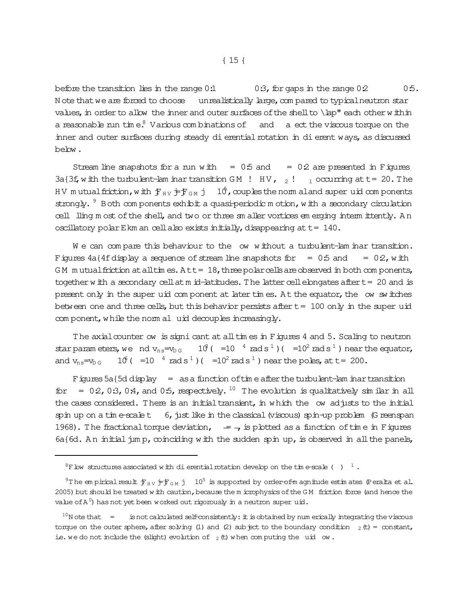before the transition lies in the range 0:1  $0.3$ , for gaps in the range  $0.2$  0:5. N ote that we are forced to choose unrealistically large, compared to typical neutron star values, in order to allow the inner and outer surfaces of the shell to  $\lambda$  ap" each other within a reasonable run time.<sup>8</sup> Various com binations of and a ect the viscous torque on the inner and outer surfaces during steady dierential rotation in dierent ways, as discussed below.

Stream line snapshots for a run with  $= 0.5$  and  $= 0.2$  are presented in Figures 3a{3f, w ith the turbulent-lam inartransition GM ! HV,  $_2$ !  $_1$  occurring at t= 20. The HV mutualfriction, with  $f_{HV}$  j= $f_{GM}$  j 10<sup>6</sup>, couples the norm aland super uid components strongly.  $9$  Both com ponents exhibit a quasi-periodic m otion, with a secondary circulation cell lling m ost of the shell, and two or three sm aller vortices em erging interm ittently. An oscillatory polar Ekm an cell also exists initially, disappearing at  $t= 140$ .

We can compare this behaviour to the ow without a turbulent-lam inar transition. Figures  $4a\{4f\}$  display a sequence of stream line snapshots for  $= 0.5$  and  $= 0.2$ , with  $GM$  m utual friction at all times.  $Att = 18$ , three polar cells are observed in both com ponents, together with a secondary cellat m id-latitudes. The latter cell elongates after  $t= 20$  and is present only in the super uid com ponent at later times. At the equator, the ow switches between one and three cells, but this behavior persists after  $t = 100$  only in the super uid com ponent, while the norm al uid decouples increasingly.

The axialcounter ow is signi cant at all times in Figures 4 and 5. Scaling to neutron starparam eters, we nd  $v_{ns}=v_{DS}$  10<sup>3</sup> ( $=10^{-4}$  rads<sup>1</sup>) ( $=10^{2}$  rads<sup>1</sup>) near the equator, and  $v_{ns} = v_{DS}$  $=10^{-4}$  rads<sup>1</sup>)(  $=10^2$  rads<sup>1</sup>) near the poles, at t = 200.

Figures 5a{5d display = as a function of time after the turbulent-lam inartransition for = 02,0:3,0:4, and 0:5, respectively. <sup>10</sup> The evolution is qualitatively similar in all the cases considered. There is an initial transient, in which the ow adjusts to the initial spin up on a tim e-scalet 6, just like in the classical (viscous) spin-up problem (G reenspan 1968). The fractional torque deviation,  $\overline{a}$  =  $\overline{a}$  is plotted as a function of time in Figures  $6a{6d}$ . An initial jum p, coinciding with the sudden spin up, is observed in all the panels,

 ${}^{8}$ F low structures associated with dierential rotation develop on the tim e-scale ()  $^{-1}$  .

<sup>&</sup>lt;sup>9</sup>T he em pirical result  $f_{HV}$  j=j<sub>GM</sub> j 10<sup>5</sup> is supported by order-of-m agnitude estim ates (Peralta et al. 2005) but should be treated w ith caution, because the m icrophysics of the GM friction force (and hence the value of A  $^0$ ) has not yet been worked out rigorously in a neutron super  $\mathrm{u\dot{u}.}$ 

 $^{10}$ N ote that  $=$ is not calculated self-consistently: it is obtained by num erically integrating the viscous torque on the outer sphere, after solving (1) and (2) subject to the boundary condition  $_2$  (t) = constant, ie. we do not include the (slight) evolution of  $_2$  (t) when com puting the uid ow.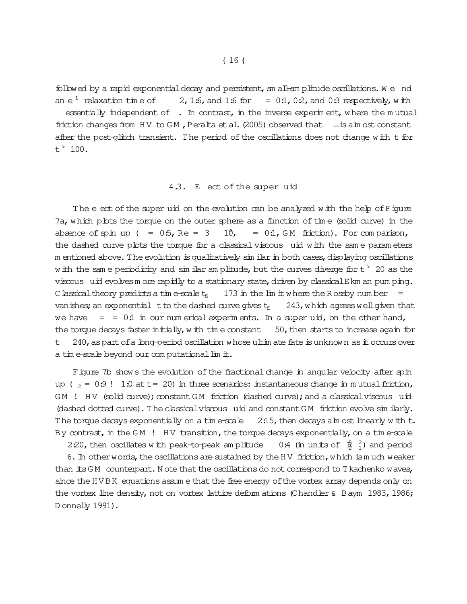followed by a rapid exponential decay and persistent, sm all-am plitude oscillations. We nd an  $e^1$  relaxation time of 2, 1.6, and 1.6 for =  $0.1$ , 0.2, and 0.3 respectively, with essentially independent of . In contrast, in the inverse experiment, where the mutual friction changes from HV to GM, Peralta et al. (2005) observed that  $-$  is alm ost constant after the post-glitch transient. The period of the oscillations does not change with t for  $t^*$  100.

# 4.3. E ect of the super uid

The e ect of the super uid on the evolution can be analyzed with the help of Figure 7a, which plots the torque on the outer sphere as a function of time (solid curve) in the absence of spin up  $($  =  $0.5$ , Re = 3  $10$ , =  $0.1$ , GM friction). For comparison, the dashed curve plots the torque for a classical viscous uid with the same parameters m entioned above. The evolution is qualitatively sim ilar in both cases, displaying oscillations w ith the same periodicity and similar amplitude, but the curves diverge for  $t > 20$  as the viscous uid evolves m ore rapidly to a stationary state, driven by classical E km an pum ping. C lassical theory predicts a time-scale  $t_E$ 173 in the lim it where the Rossby number vanishes; an exponential t to the dashed curve gives  $t_{\rm E}$ 243, which agrees well given that we have  $= 0.1$  in our num erical experiments. In a super uid, on the other hand, the torque decays faster initially, with time constant  $50$ , then starts to increase again for 240, as part of a long-period oscillation whose ultimate fate is unknown as it occurs over t. a time-scale beyond our computational limit.

Figure 7b shows the evolution of the fractional change in angular velocity after spin up ( $_2$  = 0.9! 1.0 at t = 20) in three scenarios: instantaneous change in mutual friction, GM ! HV (solid curve); constant GM friction (dashed curve); and a classical viscous uid (dashed dotted curve). The classical viscous uid and constant GM friction evolve similarly. The torque decays exponentially on a time-scale  $2.15$ , then decays alm ost linearly with t. By contrast, in the GM  $\,$ ! HV transition, the torque decays exponentially, on a time-scale

2.20, then oscillates with peak-to-peak am plitude 0.4 (in units of  $\beta$ <sup>2</sup>) and period

6. In other words, the oscillations are sustained by the HV friction, which is much weaker than its GM counterpart. Note that the oscillations do not correspond to T kachenko waves, since the HVBK equations assume that the free energy of the vortex array depends only on the vortex line density, not on vortex lattice deformations (Chandler & Baym 1983, 1986; D onnelly 1991).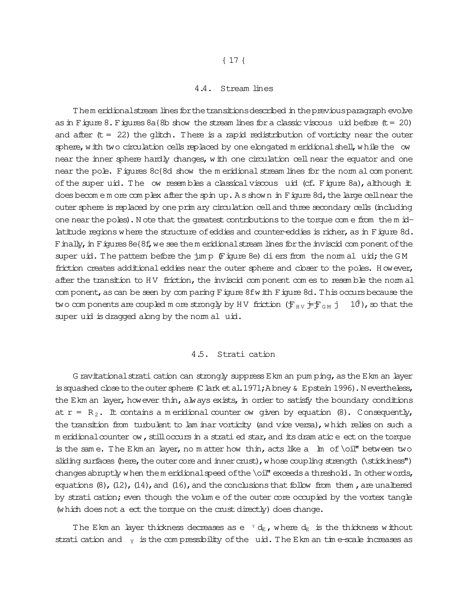## 4.4. Stream lines

Them eridionalstream lines for the transitions described in the previous paragraph evolve as in Figure 8. Figures  $8a$ {8b show the stream lines for a classic viscous uid before (t= 20) and after  $(t = 22)$  the glitch. There is a rapid redistribution of vorticity near the outer sphere, with two circulation cells replaced by one elongated m eridional shell, while the ow near the inner sphere hardly changes, with one circulation cell near the equator and one near the pole. Figures 8c{8d show the m eridional stream lines for the norm alcom ponent of the super uid. The ow resembles a classical viscous uid (cf. Figure 8a), although it does becom e m ore com plex after the spin up. A s shown in Figure 8d, the large cell near the outer sphere is replaced by one prim ary circulation celland three secondary cells (including one near the poles). N ote that the greatest contributions to the torque com e from the m idlatitude regions where the structure of eddies and counter-eddies is richer, as in Figure 8d. Finally, in Figures 8e{8f, we see them eridional stream lines for the inviscid com ponent of the super  $uid.$  The pattern before the  $\lim_{n \to \infty}$  (Figure 8e) diers from the norm al uid; the GM friction creates additional eddies near the outer sphere and closer to the poles. However, after the transition to HV friction, the inviscid com ponent com es to resemble the norm al com ponent, as can be seen by com paring Figure 8fwith Figure 8d. This occurs because the two com ponents are coupled m ore strongly by HV friction  $(F_{HV} \dagger F_{GM} \dagger 10^6)$ , so that the super uid is dragged along by the norm al uid.

#### 4.5. Stratication

G ravitational strati cation can strongly suppress E km an pum ping, as the E km an layer is squashed close to the outer sphere (C lark et al.  $1971;$  A bney & Epstein 1996). N evertheless, the Ekm an layer, however thin, always exists, in order to satisfy the boundary conditions at  $r = R_2$ . It contains a m eridional counter ow given by equation (8). Consequently, the transition from turbulent to lam inar vorticity (and vice versa), which relies on such a m eridional counter ow, still occurs in a strati ed star, and its dram atic e ect on the torque is the same. The Ekm an layer, no m atter how thin, acts like a  $\ln$  of \oil" between two sliding surfaces (here, the outer core and inner crust), whose coupling strength  $(\exists x \in S)$ changes abruptly when them eridionalspeed of the \oil" exceeds a threshold. In other words, equations  $(8)$ ,  $(12)$ ,  $(14)$ , and  $(16)$ , and the conclusions that follow from them, are unaltered by strati cation; even though the volum e of the outer core occupied by the vortex tangle (which does not a ect the torque on the crust directly) does change.

The Ekm an layer thickness decreases as e  $Y d_E$ , where  $d_E$  is the thickness without strati cation and  $_Y$  is the compressibility of the uid. The Ekm an time-scale increases as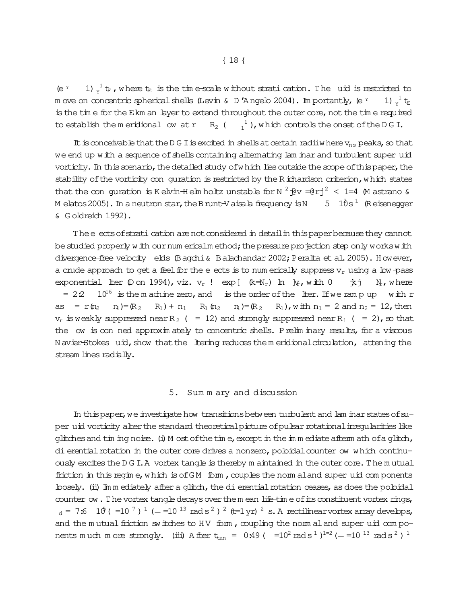$(e<sup>Y</sup>)$ 1)  $\frac{1}{v}$  t<sub>E</sub>, where t<sub>E</sub> is the time-scale without stration in the uid is restricted to m ove on concentric spherical shells (Levin & D 'Angelo 2004). Importantly, (e  $Y$ 1)  $v^1$  to is the time for the Ekm an layer to extend throughout the outer core, not the time required to establish the meridional ow at r R<sub>2</sub> ( $\frac{1}{1}$ ), which controls the onset of the DGI.

It is conceivable that the D G I is excited in shells at certain radiiw here  $v_{ns}$  peaks, so that we end up with a sequence of shells containing alternating lam inar and turbulent super uid vorticity. In this scenario, the detailed study of which lies outside the scope of this paper, the stability of the vorticity con quration is restricted by the R ichardson criterion, which states that the conquration is Kelvin-Helm holtz unstable for N  $^{2}$   $\frac{1}{2}v = e^{2}$  =  $4 \times 1 = 4$  M astrano & M elatos 2005). In a neutron star, the B runt-V aisala frequency is N 5  $10s<sup>1</sup>$  (Reisenegger & Goldreich 1992).

The e ects of strati cation are not considered in detail in this paper because they cannot be studied properly with our num ericalm ethod; the pressure projection step only works with divergence-free velocity elds (Bagchi & Balachandar 2002; Peralta et al. 2005). However, a crude approach to get a feel for the e ects is to num erically suppress  $v_r$  using a low-pass exponential liter  $(\mathbb{D})$  on 1994), viz.  $v_r$  ! exp[  $(k= N_r)$  ln  $\psi$ , with 0 トール 木 N, where  $10^{16}$  is the machine zero, and is the order of the liter. If we ramp up with r  $= 22$ as =  $r(n_2 n_1) = (R_2 R_1) + n_1 R_1(n_2 n_1) = (R_2 R_1)$ , with  $n_1 = 2$  and  $n_2 = 12$ , then  $v_r$  is weakly suppressed near R<sub>2</sub> ( = 12) and strongly suppressed near R<sub>1</sub> ( = 2), so that the ow is con ned approximately to concentric shells. Prelim inary results, for a viscous N avier-Stokes uid, show that the litering reduces the meridional circulation, attening the stream lines radially.

#### 5. Sum m ary and discussion

In this paper, we investigate how transitions between turbulent and lam inar states of super uid vorticity after the standard theoretical picture of pulsar rotational irreqularities like glitches and tim ing noise. (i) M ost of the time, except in the immediate afterm ath of a glitch, di erential rotation in the outer core drives a nonzero, pobidal counter ow which continuously excites the DGI.A vortex tangle is thereby m aintained in the outer core. The mutual friction in this regime, which is of GM form, couples the norm aland super uid components bosely. (ii) Imm ediately after a glitch, the di erential rotation ceases, as does the poloidal counter ow. The vortex tangle decays over the m ean life-time of its constituent vortex rings,  $_{d}$  = 7:6 10 ( = 10  $^{7}$  )  $^{1}$  ( - = 10  $^{13}$  rad s  $^{2}$  )  $^{2}$  (t=1 yr)  $^{2}$  s. A rectilinear vortex array develops, and the mutual friction switches to HV form, coupling the norm al and super uid components much more strongly. (iii) A fter  $t_{tan} = 0.49$  ( $= 10^2$  rad s<sup>1</sup>)<sup>1=2</sup> (-=10<sup>13</sup> rad s<sup>2</sup>)<sup>1</sup>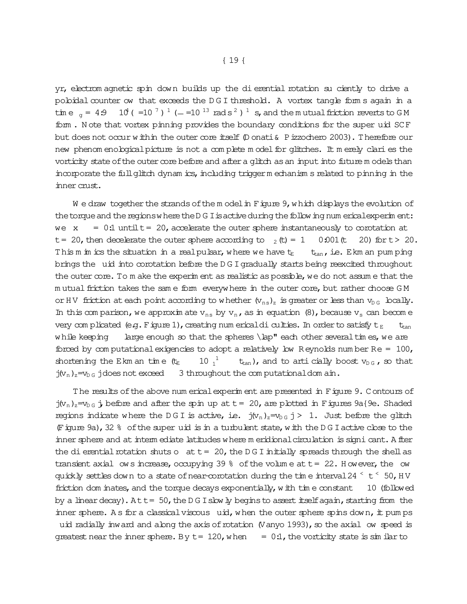yr, electrom agnetic spin down builds up the di erential rotation su ciently to drive a pobidal counter ow that exceeds the DGI threshold. A vortex tangle form s again in a time  $\sigma = 4.9$  10<sup>4</sup> (=10<sup>-7</sup>)<sup>1</sup> (-=10<sup>-13</sup> rads<sup>2</sup>)<sup>1</sup> s, and the mutual friction reverts to GM form. Note that vortex pinning provides the boundary conditions for the super uid SCF but does not occur within the outer core itself (D onati & P izzochero 2003). Therefore our new phenom enological picture is not a complete model for glitches. It merely clari es the vorticity state of the outer core before and after a glitch as an input into future models than incorporate the full glitch dynamics, including trigger mechanisms related to pinning in the inner crust.

We draw together the strands of the model in Figure 9, which displays the evolution of the torque and the regions where the D G I is active during the follow ing num erical experiment:  $= 0.1$  until t = 20, accelerate the outer sphere instantaneously to corotation at we x t = 20, then decelerate the outer sphere according to  $_2$  (t) = 1  $0:001$  (t 20) for t > 20. This m im ics the situation in a real pulsar, where we have the  $t_{tan}$ , i.e. Ekm an pum ping brings the uid into corotation before the DGI gradually starts being reexcited throughout the outer core. To m ake the experim ent as realistic as possible, we do not assume that the mutual friction takes the same form everywhere in the outer core, but rather choose GM or HV friction at each point according to whether  $(v_{ns})_z$  is greater or less than  $v_{DS}$  locally. In this comparison, we approximate  $v_{ns}$  by  $v_n$ , as in equation (8), because  $v_s$  can become very complicated (e.g. Figure 1), creating num ericaldi culties. In order to satisfy  $t_E$  $t_{\sf ran}$ while keeping large enough so that the spheres \lap" each other several times, we are forced by computational exigencies to adopt a relatively low Reynolds number  $Re = 100$ , shortening the Ekm an time  $(t_E$  $10^{-1}$  $t_{tan}$ ), and to articially boost  $v_{DG}$ , so that  $j(v_n)_z = v_{D,G}$  jdoes not exceed 3 throughout the computational dom ain.

The results of the above num erical experim ent are presented in Figure 9. Contours of  $j(v_n)_z = v_{n}$  ; before and after the spin up at  $t = 20$ , are plotted in Figures 9a{9e. Shaded regions indicate where the DGI is active, i.e.  $j(v_n)_z = v_{0.6}$  j > 1. Just before the glitch (Figure 9a), 32 % of the super uid is in a turbulent state, with the DGI active close to the inner sphere and at interm ediate latitudes where meridional circulation is signi cant. A fler the dierential rotation shuts o  $at = 20$ , the DGI initially spreads through the shell as transient axial ows increase, occupying 39  $%$  of the volume at  $t = 22$ . However, the ow quickly settles down to a state of near-corotation during the time interval 24  $\leq$  t  $\leq$  50, HV friction dom inates, and the torque decays exponentially, with time constant 10 (followed by a linear decay). At  $t = 50$ , the DG I slow ly begins to assert itself again, starting from the inner sphere. As for a classical viscous uid, when the outer sphere spins down, it pumps uid radially inward and along the axis of rotation (Vanyo 1993), so the axial ow speed is queatest near the inner sphere. By  $t = 120$ , when  $= 0.1$ , the vorticity state is simular to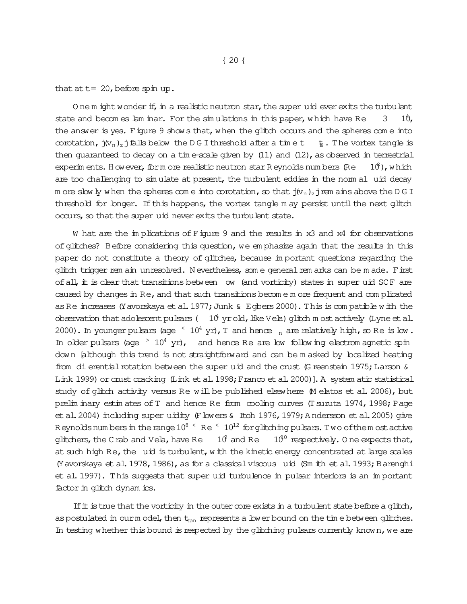O ne m ight wonder if, in a realistic neutron star, the super uid ever exits the turbulent state and becomes lam inar. For the simulations in this paper, which have Re  $3 \quad 10$ , the answer is yes. Figure 9 shows that, when the glitch occurs and the spheres come into corotation,  $j(v_n)_z$  is all below the D G I threshold after a time t tet . The vortex tangle is then guaranteed to decay on a tim e-scale given by  $(11)$  and  $(12)$ , as observed in terrestrial experim ents. H owever, form ore realistic neutron star R eynolds numbers (Re  $10^{\circ}$ ), which are too challenging to simulate at present, the turbulent eddies in the norm al uid decay m ore slowly when the spheres com e into corotation, so that  $j(v_n)_z$  jrem ains above the D G I threshold for longer. If this happens, the vortex tangle m ay persist until the next glitch occurs, so that the super uid never exits the turbulent state.

W hat are the implications of Figure 9 and the results in x3 and x4 for observations of glitches? Before considering this question, we em phasize again that the results in this paper do not constitute a theory of glitches, because im portant questions regarding the glitch trigger rem ain unresolved. N evertheless, som e general rem arks can be m ade. First of all, it is clear that transitions between ow (and vorticity) states in super uid SCF are caused by changes in Re, and that such transitions becom e m ore frequent and com plicated as Re increases (Y avorskaya et al. 1977; Junk  $\&$  E gbers 2000). This is compatible with the observation that adolescent pulsars (  $10<sup>4</sup>$  yrold, like Vela) glitch m ost actively (Lyne et al. 2000). In younger pulsars (age  $\leq 10^4$  yr), T and hence  $\frac{1}{n}$  are relatively high, so Re is low. In older pulsars (age  $\geq 10^4$  yr), and hence Re are low following electrom agnetic spin down [although this trend is not straightforward and can be m asked by localized heating from dierential rotation between the super uid and the crust (G reenstein 1975; Larson & Link 1999) or crust cracking (Link et al. 1998; Franco et al. 2000)]. A system atic statistical study of glitch activity versus Re will be published elsewhere (M elatos et al. 2006), but prelim inary estim ates of T and hence Re from cooling curves (T suruta 1974, 1998; Page et al. 2004) including super uidity (F lowers & Itoh 1976, 1979; A ndersson et al. 2005) give R eynolds num bers in the range  $10^{8}$   $\leq$  Re  $\leq$  10<sup>12</sup> for glitching pulsars. Two of the m ost active glitchers, the Crab and Vela, have Re  $10^9$  and Re  $10^{10}$  respectively. O ne expects that, at such high Re, the uid is turbulent, with the kinetic energy concentrated at large scales (Yavorskaya et al. 1978, 1986), as for a classical viscous uid (Sm ith et al. 1993; Barenghi et al.1997). This suggests that super
uid turbulence in pulsar interiors is an im portant factor in glitch dynam ics.

If  $\pm$  is true that the vorticity in the outer core exists in a turbulent state before a glitch, as postulated in our m odel, then  $t_{tan}$  represents a lower bound on the tim e between glitches. In testing whether this bound is respected by the glitching pulsars currently known, we are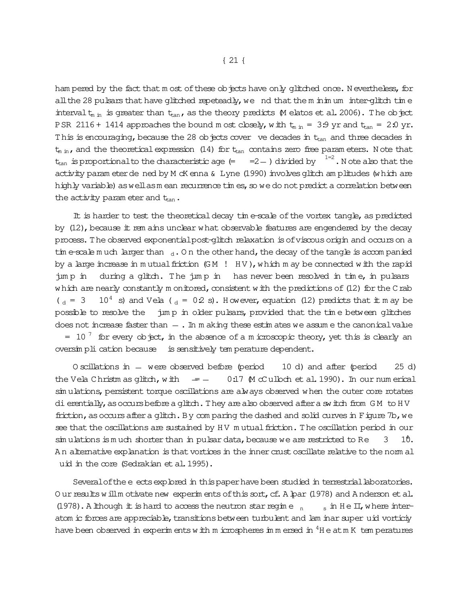ham pered by the fact that m ost of these objects have only glitched once. N evertheless, for all the 28 pulsars that have glitched repeteadly, we nd that the m inim um inter-glitch time intervalt<sub>m in</sub> is greater than  $t_{tan}$ , as the theory predicts (M elatos et al. 2006). The object PSR 2116 + 1414 approaches the bound m ost closely, with  $t_{m in} = 3.9$  yr and  $t_{tan} = 2.0$  yr. This is encouraging, because the 28 objects cover ve decades in  $t_{tan}$  and three decades in  $t_{\min}$ , and the theoretical expression (14) for  $t_{\text{tan}}$  contains zero free param eters. N ote that  $t_{\rm tan}$  is proportionalto the characteristic age (=  $\quad$  =2  $\!$  ) divided by  $\quad$   $^{1=2}$  . N ote also that the activity param eter de ned by M cK enna & Lyne (1990) involves glitch am plitudes (which are highly variable) as well as mean recurrence tim es, so we do not predict a correlation between the activity param eter and  $t_{tan}$ .

It is harder to test the theoretical decay time-scale of the vortex tangle, as predicted by  $(12)$ , because it rem ains unclear what observable features are engendered by the decay process. The observed exponential post-glitch relaxation is of viscous origin and occurs on a tim e-scale m uch larger than  $_{\rm d}$ . On the other hand, the decay of the tangle is accompanied by a large increase in mutual friction (GM ! HV), which m ay be connected with the rapid jum p in during a glitch. The jum p in has never been resolved in time, in pulsars which are nearly constantly m onitored, consistent with the predictions of  $(12)$  for the Crab  $\mu_{d}$  = 3 10<sup>4</sup> s) and Vela ( $\mu_{d}$  = 02 s). However, equation (12) predicts that it m ay be possible to resolve the jum p in older pulsars, provided that the tim e between glitches does not increase faster than  $-$ . In m aking these estim ates we assum e the canonical value = 10<sup>7</sup> for every object, in the absence of a m icroscopic theory, yet this is clearly an oversim pli cation because is sensitively tem perature dependent.

O scillations in  $-$  were observed before (period 10 d) and after (period 25 d) the Vela Christm as glitch, with  $\epsilon = -0.17$  (M cCulloch et al. 1990). In our num erical sim ulations, persistent torque oscillations are always observed when the outer core rotates dierentially, as occurs before a glitch. They are also observed after a switch from GM to HV friction, as occurs after a glitch. By comparing the dashed and solid curves in Figure 7b, we see that the oscillations are sustained by HV mutual friction. The oscillation period in our  $\sin u$  lations is much shorter than in pulsar data, because we are restricted to Re  $3$  10. An alternative explanation is that vortices in the inner crust oscillate relative to the norm al uid in the core (Sedrakian et al. 1995).

Several of the e ects explored in this paper have been studied in terrestrial laboratories. O ur results will motivate new experim ents of this sort, cf. A lpar (1978) and A nderson et al. (1978). A lthough it is hard to access the neutron star regime  $n_{\text{max}}$  in He II, where interatom ic forces are appreciable, transitions between turbulent and lam inar super uid vorticiy have been observed in experim ents with m icrospheres in m ersed in  ${}^{4}$ H e atm K tem peratures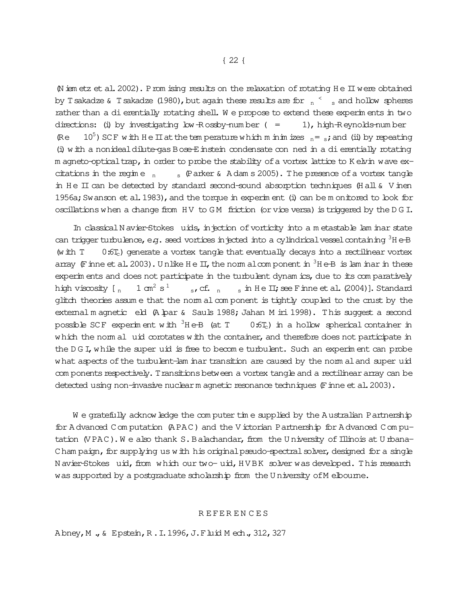$\emptyset$  iem etz et al. 2002). Prom ising results on the relaxation of rotating H e II were obtained by Tsakadze & Tsakadze (1980), but again these results are for  $\,$   $_{\textrm{n}}$   $\,^{\textrm{c}}$   $\,$   $\,$  and hollow spheres rather than a dierentially rotating shell. We propose to extend these experiments in two directions: (i) by investigating  $\text{Low-R}$  ossby-num ber ( = = 1), high-R eynolds-num ber (Re 10<sup>5</sup>) SCF with H e II at the tem perature which m in initias  $n = s$ ; and (ii) by repeating (i) with a nonideal dilute-gas  $B$  ose-E instein condensate con ned in a dierentially rotating m agneto-optical trap, in order to probe the stability of a vortex lattice to K elvin wave excitations in the regime  $n_s$  (Parker & A dam s 2005). The presence of a vortex tangle in He II can be detected by standard second-sound absorption techniques (Hall  $\&$  V inen 1956a; Swanson et al. 1983), and the torque in experim ent (i) can be m onitored to look for oscillations when a change from HV to GM friction (or vice versa) is triggered by the D G I.

In classical N avier-Stokes uids, injection of vorticity into a m etastable lam inar state can trigger turbulence, e.g. seed vortices in jected into a cylindrical vessel containing  ${}^{3}$ H e-B (w ith  $T = 0:6T_c$ ) generate a vortex tangle that eventually decays into a rectilinear vortex array (Finne et al. 2003). Unlike H e II, the norm alcom ponent in  $3H e-B$  is lam inar in these experim ents and does not participate in the turbulent dynam ics, due to its com paratively high viscosity  $[ \; ]_n$  $1 \text{ cm}^2 \text{ s}^1$ s, cf.  $n = s$  in He II; see F inne et al. (2004)]. Standard glitch theories assum e that the norm alcom ponent is tightly coupled to the crust by the external m agnetic eld (A lpar & Sauls 1988; Jahan M iri 1998). This suggest a second possible SCF experim ent with  ${}^{3}$ H e-B (at T  $-$  0:6T<sub>c</sub>) in a hollow spherical container in which the norm al uid corotates with the container, and therefore does not participate in the D G I, while the super uid is free to become turbulent. Such an experiment can probe what aspects of the turbulent-lam inar transition are caused by the norm al and super uid com ponents respectively. Transitions between a vortex tangle and a rectilinear array can be detected using non-invasive nuclearm agnetic resonance techniques (Finne et al. 2003).

W e gratefully acknow ledge the com puter tim e supplied by the A ustralian Partnership for A dvanced Com putation (A PAC) and the V ictorian Partnership for A dvanced Com putation (VPAC). We also thank S. Balachandar, from the University of Illinois at U rbana-Cham paign, for supplying us with his original pseudo-spectral solver, designed for a single N avier-Stokes uid, from which our two-uid, HVBK solver was developed. This research was supported by a postgraduate scholarship from the U niversity of M elbourne.

#### R E FE R E N C E S

A bney, M., & Epstein, R.I. 1996, J.F luid Mech., 312, 327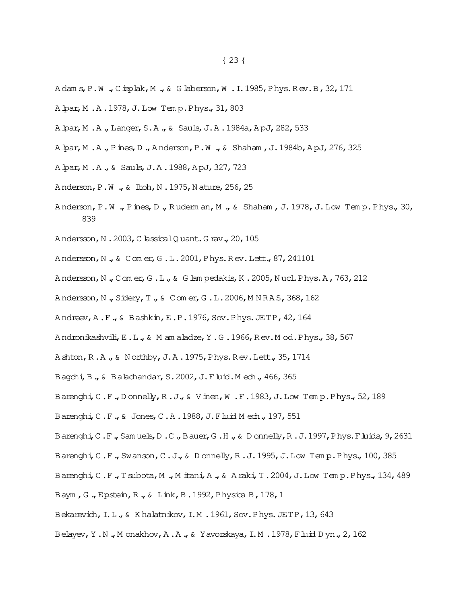- A dam s, P.W., Cieplak, M., & G laberson, W.I.1985, Phys. Rev. B, 32, 171
- A bar, M.A.1978, J.Low Temp. Phys., 31, 803
- A bar, M.A., Langer, S.A., & Sauls, J.A. 1984a, ApJ, 282, 533
- A par, M . A ., P ines, D ., Anderson, P . W ., & Shaham, J. 1984b, A pJ, 276, 325
- A bar, M.A., & Sauls, J.A. 1988, ApJ, 327, 723
- Anderson, P.W., & Itoh, N.1975, Nature, 256, 25
- Anderson, P.W., Pines, D., Rudem an, M., & Shaham, J. 1978, J. Low Temp. Phys., 30, 839
- Andersson, N.2003, Classical Quant. Grav., 20, 105
- Andersson, N., & Comer, G.L.2001, Phys. Rev. Lett., 87, 241101
- Andersson, N., Comer, G.L., & Glampedakis, K.2005, Nucl. Phys. A, 763, 212
- Andersson, N., Sidery, T., & Comer, G.L.2006, MNRAS, 368, 162
- Andreev, A.F., & Bashkin, E.P. 1976, Sov. Phys. JETP, 42, 164
- Andronikashvili, E.L., & M am aladze, Y.G. 1966, Rev. M od. Phys., 38, 567
- A shton, R.A., & Northby, J.A. 1975, Phys. Rev. Lett., 35, 1714
- Bagchi, B., & Balachandar, S. 2002, J. Fluid. Mech., 466, 365
- Barenghi, C.F., Donnelly, R.J., & Vinen, W.F.1983, J.Low Temp.Phys., 52, 189
- Barenghi, C.F., & Jones, C.A.1988, J.Fluid Mech., 197, 551
- Barenghi, C.F., Samuels, D.C., Bauer, G.H., & Donnelly, R.J.1997, Phys. Fluids, 9, 2631
- Barenghi, C.F., Swanson, C.J., & Donnelly, R.J. 1995, J.Low Temp. Phys., 100, 385
- Barenghi, C.F., Tsubota, M., Mitani, A., & Araki, T. 2004, J. Low Temp. Phys., 134, 489
- Baym, G., Epstein, R., & Link, B. 1992, Physica B, 178, 1
- Bekarevich, I.L., & Khalatnikov, I.M. 1961, Sov. Phys. JETP, 13, 643
- Belayev, Y.N., Monakhov, A.A., & Yavorskaya, I.M. 1978, Fluid Dyn., 2, 162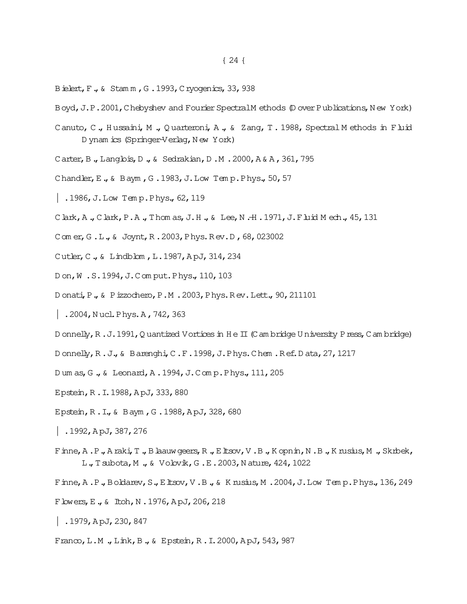- Bielert, F., & Stamm, G. 1993, Cryogenics, 33, 938
- Boyd, J.P.2001, Chebyshev and Fourier Spectral Methods (Dover Publications, New York)
- Canuto, C., Hussaini, M., Quarteroni, A., & Zang, T. 1988, Spectral Methods in Fluid D ynam ics (Springer-Verlag, New York)
- Carter, B., Langlois, D., & Sedrakian, D.M. 2000, A& A, 361, 795
- Chandler, E., & Baym, G. 1983, J. Low Temp. Phys., 50, 57
- | .1986, J. Low Temp. Phys., 62, 119
- C lark, A., C lark, P.A., Thomas, J.H., & Lee, N.H. 1971, J.F luid Mech., 45, 131
- Comer, G.L., & Joynt, R.2003, Phys. Rev.D, 68, 023002
- Cutler, C., & Lindblom, L.1987, ApJ, 314, 234
- Don, W.S. 1994, J.Comput. Phys., 110, 103
- Donati, P., & Pizzochero, P.M. 2003, Phys. Rev. Lett., 90, 211101
- | .2004, Nucl. Phys. A, 742, 363
- D onnelly,  $R$ . J. 1991, Q uantized V ortices in  $H \in \Pi$  (C am bridge U niversity P ress, C am bridge)
- D onnelly,  $R.J.$ ,  $\&$  B arenghi,  $C.F.1998$ ,  $J.P$  hys. Chem. Ref. D ata, 27, 1217
- Dum as, G., & Leonard, A.1994, J.Comp. Phys., 111, 205
- Epstein, R.I.1988, ApJ, 333, 880
- Epstein, R.I., & Baym, G.1988, ApJ, 328, 680
- |  $.1992,$  ApJ, 387, 276
- Finne, A.P., Araki, T., Blaauw geers, R., Eltsov, V.B., Kopnin, N.B., Krusius, M., Skrbek, L., Tsubota, M., & Volovik, G.E. 2003, Nature, 424, 1022
- Finne, A.P., Boldarev, S., Eltsov, V.B., & Krusius, M.2004, J.Low Temp. Phys., 136, 249
- F Lowers, E., & Itoh, N.1976, ApJ, 206, 218
- |  $.1979$ , ApJ, 230, 847
- Franco, L.M., Link, B., & Epstein, R.I. 2000, ApJ, 543, 987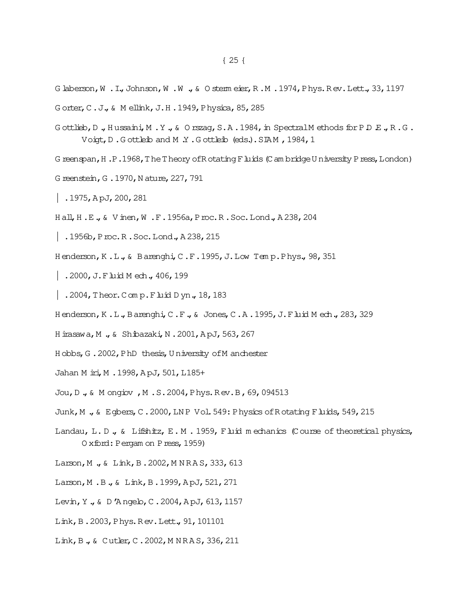- G laberson, W . I., Johnson, W . W ., & O sterm eier, R.M. 1974, Phys. Rev. Lett., 33, 1197
- Gorter, C.J., & Mellink, J.H.1949, Physica, 85, 285
- Gottlieb, D., Hussaini, M.Y., & Orszag, S.A. 1984, in Spectral Methods for P.D.E., R.G. Voigt, D.Gottleib and M.Y.Gottleib (eds.). SIAM, 1984, 1
- Greenspan, H.P.1968, The Theory of Rotating Fluids (Cambridge University Press, London)
- G reenstein, G.1970, Nature, 227, 791
- |  $.1975,$  ApJ, 200, 281
- Hall, H.E., & Vinen, W.F.1956a, Proc.R.Soc.Lond., A238, 204
- $|$ . 1956b, Proc. R. Soc. Lond., A 238, 215
- Henderson, K.L., & Barenghi, C.F.1995, J.Low Temp. Phys., 98, 351
- | .2000, J. F luid M ech., 406, 199
- | .2004, Theor. Comp. F  $\mu$ id D yn., 18, 183
- Henderson, K.L., Barenghi, C.F., & Jones, C.A.1995, J.Fluid Mech., 283, 329
- H irasawa, M., & Shibazaki, N.2001, ApJ, 563, 267
- Hobbs, G. 2002, PhD thesis, University of M anchester
- Jahan M iri, M . 1998, ApJ, 501, L185+
- Jou, D., & M ongiov, M.S. 2004, Phys. Rev. B, 69, 094513
- Junk, M., & Egbers, C. 2000, LNP Vol. 549: Physics of Rotating Fluids, 549, 215
- Landau, L.D., & Lifshitz, E.M. 1959, Fluid mechanics (Course of theoretical physics, Oxford: Pergam on Press, 1959)
- Larson, M., & Link, B.2002, MNRAS, 333, 613
- Larson, M.B., & Link, B.1999, ApJ, 521, 271
- Levin, Y., & D'Angeb, C.2004, ApJ, 613, 1157
- Link, B.2003, Phys. Rev. Lett., 91, 101101
- Link, B., & Cutler, C. 2002, MNRAS, 336, 211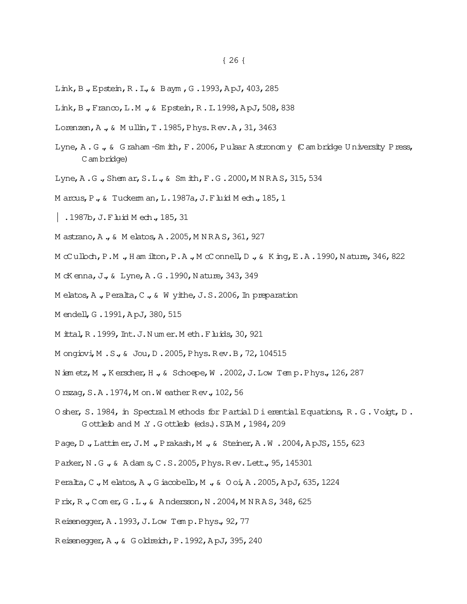- Link, B., Epstein, R.I., & Baym, G.1993, ApJ, 403, 285
- Link, B., Franco, L.M., & Epstein, R.I. 1998, ApJ, 508, 838
- Lorenzen, A., & Mullin, T. 1985, Phys. Rev. A, 31, 3463
- Lyne, A.G., & Graham Sm ith, F. 2006, Pulsar Astronomy (Cambridge University Press, C am bridge)
- Lyne, A.G., Shem ar, S.L., & Sm ith, F.G. 2000, MNRAS, 315, 534
- Marcus, P., & Tuckerman, L. 1987a, J. Fluid Mech., 185, 1
- | .1987b, J. F  $\mu$ id Mech., 185, 31
- M astrano, A., & M elatos, A.2005, M NRAS, 361, 927
- M  $\alpha$  ulbch, P.M., H am ilton, P.A., M  $\alpha$  onnell, D., & K ing, E.A.1990, N ature, 346, 822
- M cK enna, J., & Lyne, A.G. 1990, Nature, 343, 349
- M elatos, A., Peralta, C., & W yithe, J.S. 2006, In preparation
- M endell, G.1991, ApJ, 380, 515
- M ittal, R. 1999, Int. J. Numer. Meth. F luids, 30, 921
- M ongiovi, M.S., & Jou, D.2005, Phys. Rev. B, 72, 104515
- Niemetz, M., Kerscher, H., & Schoepe, W. 2002, J. Low Temp. Phys., 126, 287
- 0 rszag, S.A.1974, M on. W eather Rev., 102, 56
- O sher, S. 1984, in Spectral M ethods for Partial D i erential Equations, R. G. Voigt, D. Gottleib and M Y.Gottleib (eds.). SIAM, 1984, 209
- Page, D., Lattin er, J.M., Prakash, M., & Steiner, A.W. 2004, ApJS, 155, 623
- Parker, N.G., & Adams, C.S. 2005, Phys. Rev. Lett., 95, 145301
- Peralta, C., Melatos, A., Giacobello, M., & Ooi, A. 2005, ApJ, 635, 1224
- Prix, R., Comer, G.L., & Andersson, N.2004, MNRAS, 348, 625
- Reisenegger, A.1993, J.Low Temp. Phys., 92, 77
- Reisenegger, A., & Goldreich, P. 1992, ApJ, 395, 240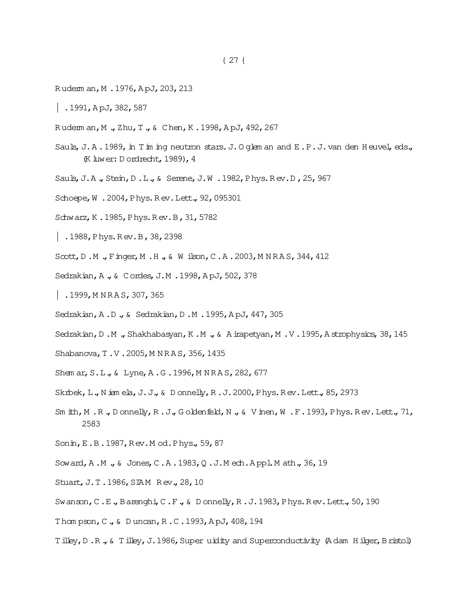- Rudem an, M.1976, ApJ, 203, 213
- $|$ .1991, ApJ, 382, 587
- R uderm an,M .,Zhu,T.,& Chen,K .1998,A pJ,492,267
- Sauls, J.A. 1989, in T in ing neutron stars. J. O glem an and E.P.J. van den H euvel, eds., (K luwer:D ordrecht,1989),4
- Sauls, J.A., Stein, D.L., & Serene, J.W. 1982, Phys. Rev. D, 25, 967
- Schoepe, W . 2004, Phys. Rev. Lett., 92, 095301
- Schwarz,K .1985,Phys.R ev.B,31,5782
- | .1988,Phys.R ev.B,38,2398
- Scott, D.M., Finger, M.H., & Wilson, C.A. 2003, MNRAS, 344, 412
- Sedrakian, A., & Cordes, J.M. 1998, ApJ, 502, 378
- $|$ . 1999, M N R A S, 307, 365
- Sedrakian, A.D., & Sedrakian, D.M. 1995, ApJ, 447, 305
- Sedrakian, D.M., Shakhabasyan, K.M., & A irapetyan, M.V. 1995, A strophysics, 38, 145
- Shabanova, T.V.2005, MNRAS, 356, 1435
- Shem ar, S.L., & Lyne, A.G. 1996, MNRAS, 282, 677
- Skrbek, L., N iem ela, J.J., & D onnelly, R.J. 2000, Phys. Rev. Lett., 85, 2973
- Sm ith, M . R ., D onnelly, R . J., G oldenfield, N ., & V inen, W . F . 1993, Phys. Rev. Lett., 71, 2583
- Sonin,E.B.1987,R ev.M od.Phys.,59,87
- Soward, A.M., & Jones, C.A. 1983, Q.J.M ech. Appl. M ath., 36, 19
- Stuart, J.T.1986, SIAM Rev., 28, 10
- Swanson, C.E., Barenghi, C.F., & D onnelly, R.J.1983, Phys. Rev. Lett., 50, 190
- Thom pson,C.,& D uncan,R .C.1993,A pJ,408,194
- Tilley, D.R., & Tilley, J.1986, Super uidity and Superconductivity (A dam Hilger, Bristol)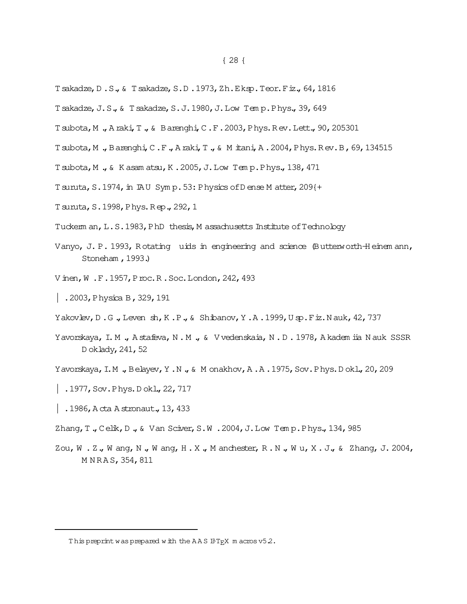- Tsakadze, D.S., & Tsakadze, S.D.1973, Zh.Eksp.Teor.Fiz., 64, 1816
- Tsakadze, J.S., & Tsakadze, S.J.1980, J.Low Temp. Phys., 39, 649
- T subota, M., A raki, T., & B arenghi, C.F. 2003, Phys. Rev. Lett., 90, 205301
- T subota, M., Barenghi, C.F., A raki, T., & M itani, A. 2004, Phys. Rev. B, 69, 134515
- Tsubota, M., & Kasamatsu, K.2005, J.Low Temp. Phys., 138, 471
- T suruta, S. 1974, in IAU Symp. 53: Physics of D ense M atter, 209{+
- T suruta, S. 1998, Phys. Rep., 292, 1
- Tuckerm an, L.S. 1983, PhD thesis, M assachusetts Institute of Technology
- Vanyo, J. P. 1993, Rotating uids in engineering and science (Butterworth-Heinem ann, Stoneham, 1993.)
- V inen, W.F.1957, Proc.R.Soc.London, 242, 493
- $\vert$  . 2003, Physica B, 329, 191
- Yakovlev, D.G., Leven sh, K.P., & Shibanov, Y.A.1999, Usp.Fiz.Nauk, 42, 737
- Yavorskaya, I.M., Astafeva, N.M., & Vvedenskaia, N.D. 1978, Akadem ija Nauk SSSR D oklady, 241, 52
- Yavorskaya, I.M., Belayev, Y.N., & Monakhov, A.A. 1975, Sov. Phys. Dokl., 20, 209
- | .1977, Sov. Phys. Dokl., 22, 717
- $|$ . 1986, Acta Astronaut., 13, 433
- Zhang, T., Celik, D., & Van Sciver, S.W.2004, J.Low Temp. Phys., 134, 985
- Zou, W . Z., W ang, N., W ang, H. X., M anchester, R. N., W u, X. J., & Zhang, J. 2004, MNRAS, 354, 811

This preprint was prepared with the AAS IATRX macros  $v52$ .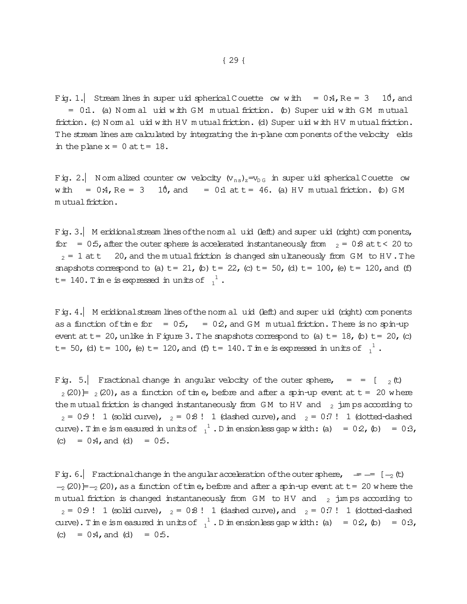Fig. 1. Stream lines in super uid spherical Couette ow with  $= 0.4$ , Re  $= 3$  10, and  $= 0.1$ . (a) Nommal uid with GM mutual friction. (b) Super uid with GM mutual friction. (c) N omm all uid w ith H V m utual friction. (d) Super uid w ith H V m utual friction. The stream lines are calculated by integrating the in-plane components of the velocity elds in the plane  $x = 0$  at  $t = 18$ .

Fig. 2. Norm alized counter ow velocity  $(v_{ns})_z = v_{DS}$  in super uid spherical Couette ow with =  $0.4$ , Re =  $3$   $10$ , and =  $0.1$  at t =  $46$ . (a) HV mutual friction. (b) GM m utual friction.

Fig. 3. Meridional stream lines of the norm al uid (left) and super uid (right) com ponents, for =  $0.5$ , after the outer sphere is accelerated instantaneously from  $z = 0.8$  at t < 20 to  $2 = 1$  att 20, and the m utual friction is changed simultaneously from GM to HV. The snapshots correspond to (a)  $t= 21$ , (b)  $t= 22$ , (c)  $t= 50$ , (d)  $t= 100$ , (e)  $t= 120$ , and (f) t = 140. Time is expressed in units of  $1^1$ .

Fig. 4. Meridional stream lines of the norm al uid (left) and super uid (right) com ponents as a function of time for  $= 0.5$ ,  $= 0.2$ , and GM mutual friction. There is no spin-up event at  $t= 20$ , unlike in Figure 3. The snapshots correspond to (a)  $t= 18$ , (b)  $t= 20$ , (c) t= 50, (d) t= 100, (e) t= 120, and (f) t= 140. Time is expressed in units of  $\frac{1}{1}$ .

Fig. 5. Fractional change in angular velocity of the outer sphere,  $\qquad = \qquad [ \quad _2(t)$  $2(20)$  =  $2(20)$ , as a function of time, before and after a spin-up event at t = 20 where the mutual friction is changed instantaneously from GM to HV and  $_2$  jumps according to  $_2$  = 0:9 ! 1 (solid curve),  $_2$  = 0:8 ! 1 (dashed curve), and  $_2$  = 0:7 ! 1 (dotted-dashed curve). Tim e is measured in units of  $1^1$ . Dim ensionless gap width: (a) = 02, (b) = 0:3, (c) =  $0:4$ , and (d) =  $0:5$ .

Fig. 6. Fractional change in the angular acceleration of the outer sphere,  $\epsilon = -1$  =  $[-2, 12)$  $-2(20)$  =  $-2(20)$ , as a function of time, before and after a spin-up event at t = 20 where the m utual friction is changed instantaneously from GM to HV and  $_2$  jum ps according to  $_2$  = 0:9 ! 1 (solid curve),  $_2$  = 0:8 ! 1 (dashed curve), and  $_2$  = 0:7 ! 1 (dotted-dashed curve). Tim e is measured in units of  $1^1$ . Dim ensionless gap width: (a) = 02, (b) = 0:3, (c) =  $0:4$ , and (d) =  $0:5$ .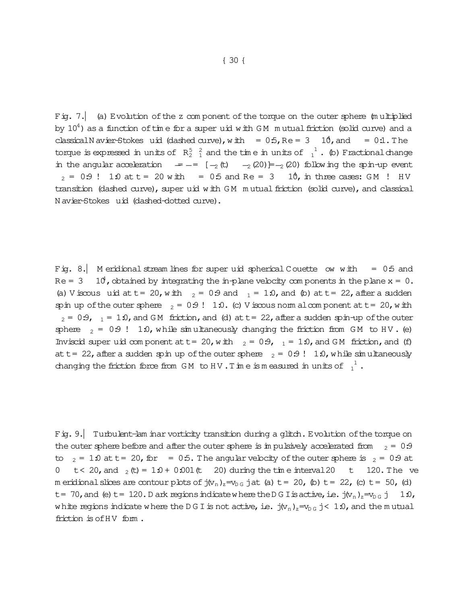Fig. 7. (a) Evolution of the z com ponent of the torque on the outer sphere (multiplied by  $10^4$ ) as a function of time for a super uid with GM mutual friction (solid curve) and a classicalN avier-Stokes uid (dashed curve), with =  $0.5$ , Re =  $3$  10, and =  $0.1$ . The torque is expressed in units of  $R_2^5 \frac{2}{1}$  and the time in units of  $\frac{1}{1}$ . (b) Fractional change in the angular acceleration  $\quad = - = \quad [-2, (t) \quad -2(20) = -2(20)$  following the spin-up event  $_2 = 0.9$ ! 1:0 at t = 20 with = 0:5 and Re = 3 10, in three cases: GM ! HV transition (dashed curve), super uid with GM mutual friction (solid curve), and classical N avier-Stokes 
uid (dashed-dotted curve).

Fig. 8. M eridional stream lines for super uid spherical Couette ow with =  $0.5$  and  $Re = 3$  10<sup>4</sup>, obtained by integrating the in-plane velocity components in the plane  $x = 0$ . (a) V iscous uid at t = 20, w ith  $_2$  = 0:9 and  $_1$  = 1:0, and (b) at t = 22, after a sudden spin up of the outer sphere  $_2 = 0.9$ ! 1:0. (c) V iscous norm alcom ponent at t = 20, with  $_2$  = 0:9,  $_{-1}$  = 1:0, and GM friction, and (d) at t = 22, after a sudden spin-up of the outer sphere  $_2 = 0.9$ ! 1:0, while simultaneously changing the friction from GM to HV. (e) Inviscid super uid com ponent at  $t = 20$ , with  $_2 = 0.9$ ,  $_1 = 1.0$ , and GM friction, and (f) att = 22, after a sudden spin up of the outer sphere  $z = 0.9$ ! 1:0, while sim ultaneously changing the friction force from GM to HV. Time is measured in units of  $\frac{1}{1}$ .

Fig.9.| Turbulent-lam inar vorticity transition during a glitch. Evolution ofthe torque on the outer sphere before and after the outer sphere is in pulsively accelerated from  $z = 0.9$ to  $_2$  = 1.0 at t = 20, for = 0.5. The angular velocity of the outer sphere is  $_2$  = 0.9 at 0 t < 20, and  $_2$  (t) = 1:0 + 0:001 (t 20) during the time interval 20 t 120. The ve m eridional slices are contour plots of  $j(v_n)_z = v_{D,G}$  jat (a) t = 20, (b) t = 22, (c) t = 50, (d) t = 70, and (e) t = 120. D ark regions indicate where the D G I is active, i.e.  $j(v_n)_z = v_{D \ G} j$  1:0, white regions indicate where the D G I is not active, i.e.  $j(v_n)_z=v_{D\ G} j < 1.0$ , and the m utual friction is of HV form.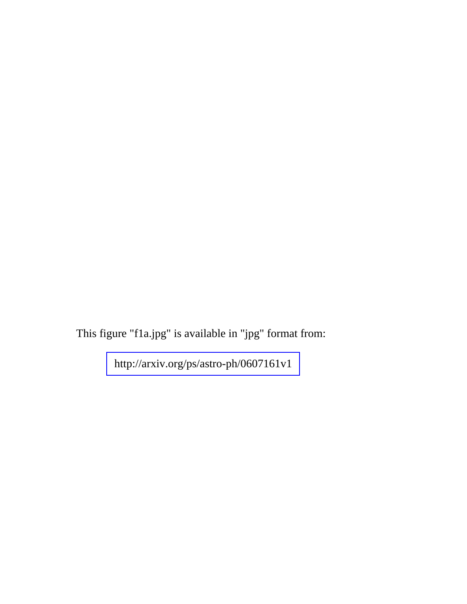This figure "f1a.jpg" is available in "jpg" format from: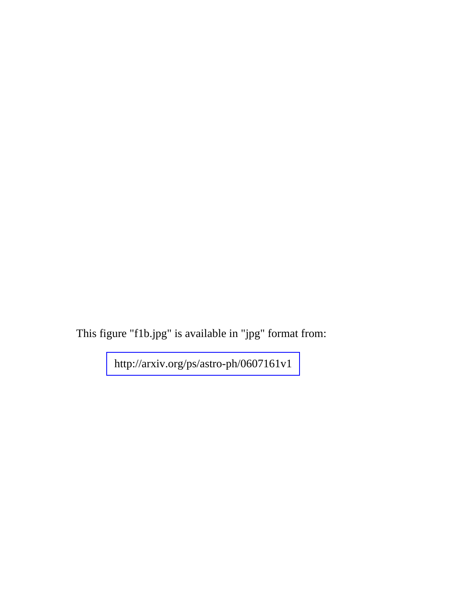This figure "f1b.jpg" is available in "jpg" format from: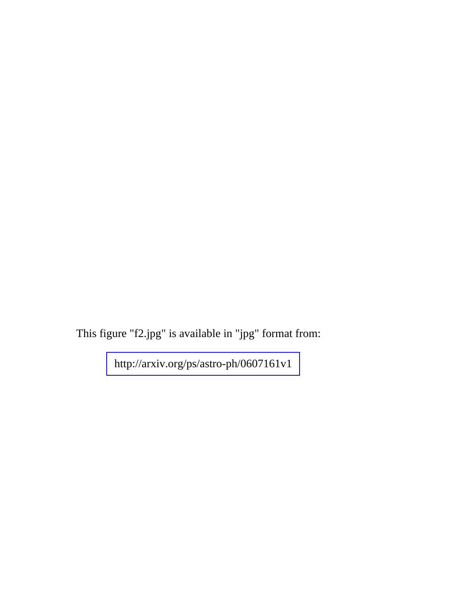This figure "f2.jpg" is available in "jpg" format from: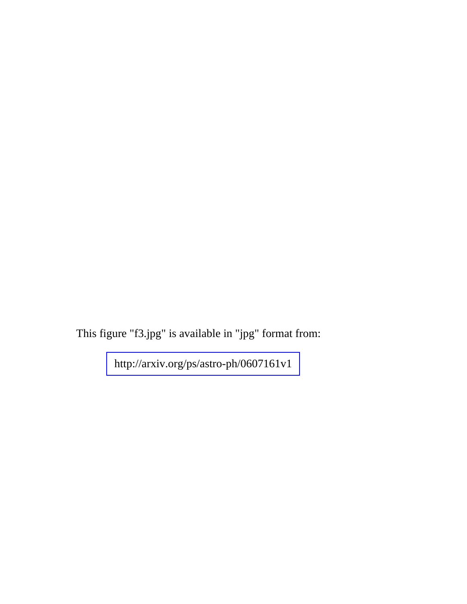This figure "f3.jpg" is available in "jpg" format from: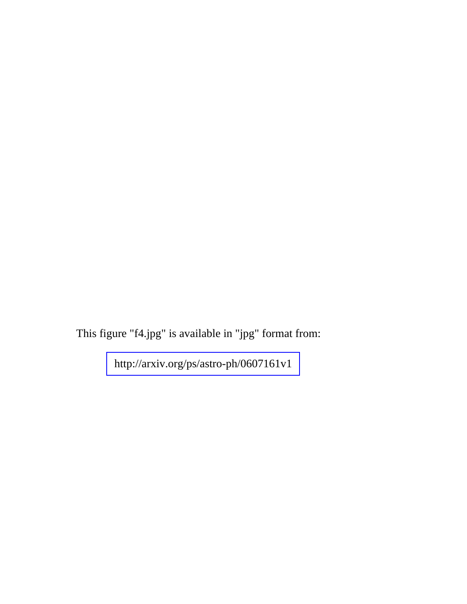This figure "f4.jpg" is available in "jpg" format from: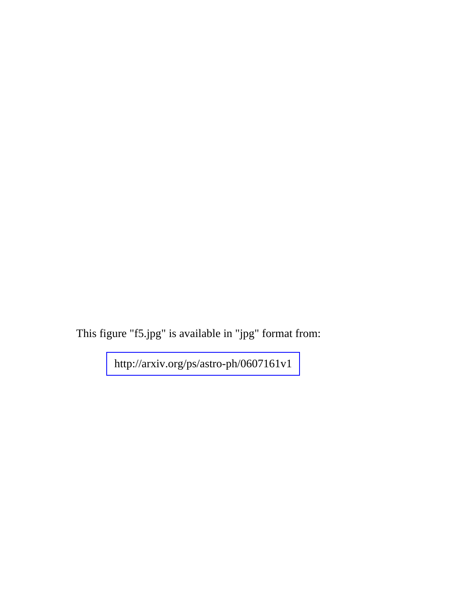This figure "f5.jpg" is available in "jpg" format from: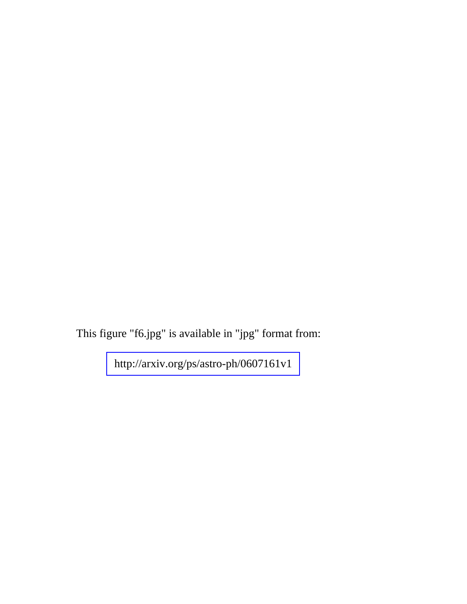This figure "f6.jpg" is available in "jpg" format from: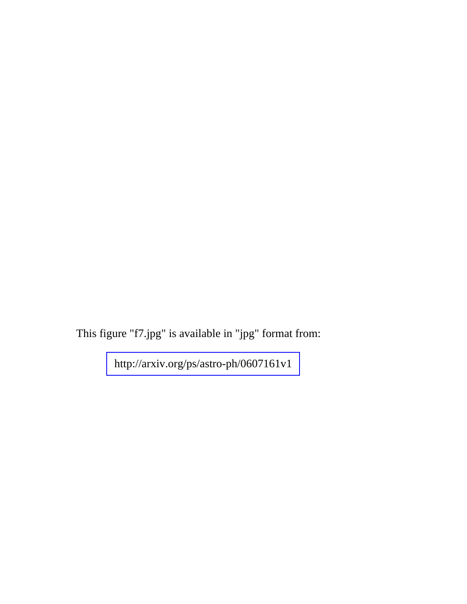This figure "f7.jpg" is available in "jpg" format from: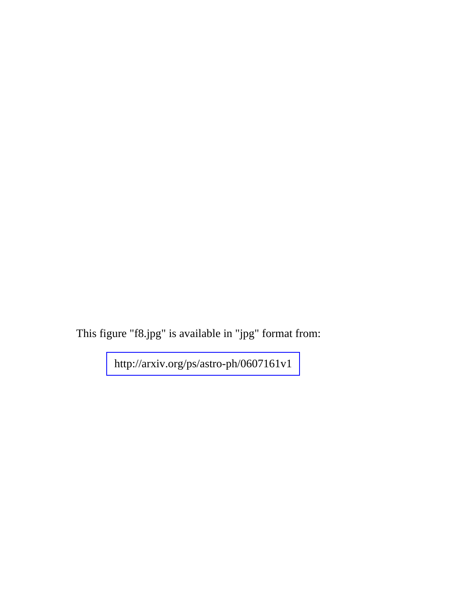This figure "f8.jpg" is available in "jpg" format from: